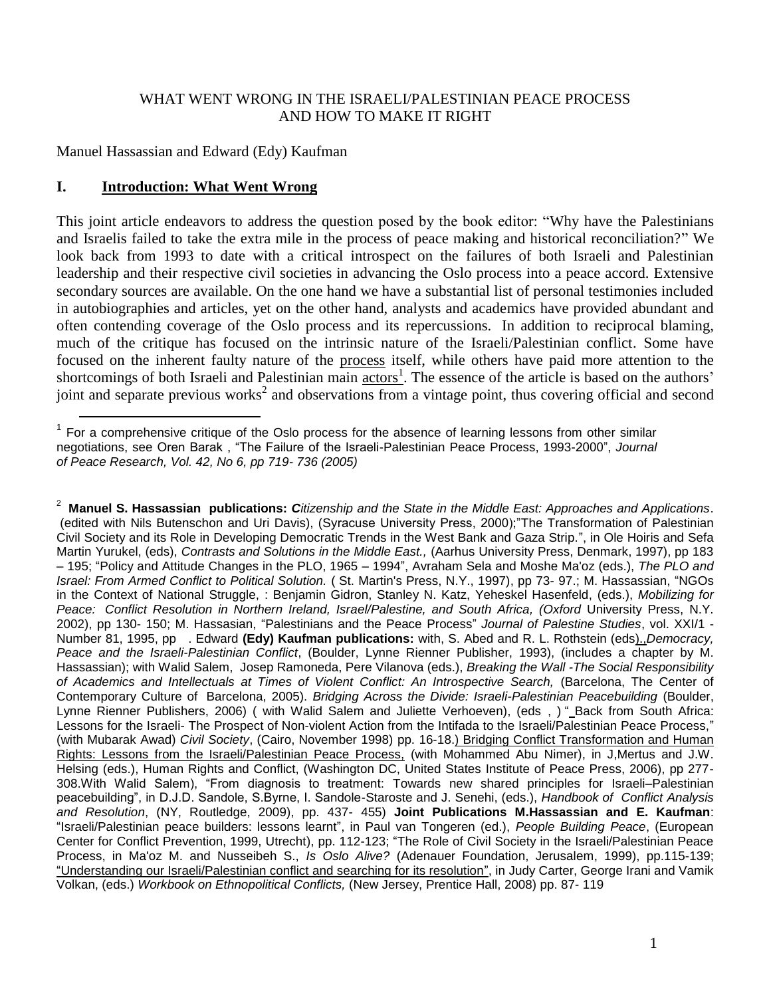## WHAT WENT WRONG IN THE ISRAELI/PALESTINIAN PEACE PROCESS AND HOW TO MAKE IT RIGHT

Manuel Hassassian and Edward (Edy) Kaufman

### **I. Introduction: What Went Wrong**

 $\overline{a}$ 

This joint article endeavors to address the question posed by the book editor: "Why have the Palestinians and Israelis failed to take the extra mile in the process of peace making and historical reconciliation?" We look back from 1993 to date with a critical introspect on the failures of both Israeli and Palestinian leadership and their respective civil societies in advancing the Oslo process into a peace accord. Extensive secondary sources are available. On the one hand we have a substantial list of personal testimonies included in autobiographies and articles, yet on the other hand, analysts and academics have provided abundant and often contending coverage of the Oslo process and its repercussions. In addition to reciprocal blaming, much of the critique has focused on the intrinsic nature of the Israeli/Palestinian conflict. Some have focused on the inherent faulty nature of the process itself, while others have paid more attention to the shortcomings of both Israeli and Palestinian main actors<sup>1</sup>. The essence of the article is based on the authors' joint and separate previous works<sup>2</sup> and observations from a vintage point, thus covering official and second

<sup>2</sup> **Manuel S. Hassassian publications:** *Citizenship and the State in the Middle East: Approaches and Applications*. (edited with Nils Butenschon and Uri Davis), (Syracuse University Press, 2000);"The Transformation of Palestinian Civil Society and its Role in Developing Democratic Trends in the West Bank and Gaza Strip.", in Ole Hoiris and Sefa Martin Yurukel, (eds), *Contrasts and Solutions in the Middle East.,* (Aarhus University Press, Denmark, 1997), pp 183 – 195; "Policy and Attitude Changes in the PLO, 1965 – 1994", Avraham Sela and Moshe Ma'oz (eds.), *The PLO and Israel: From Armed Conflict to Political Solution.* ( St. Martin's Press, N.Y., 1997), pp 73- 97.; M. Hassassian, "NGOs in the Context of National Struggle, : Benjamin Gidron, Stanley N. Katz, Yeheskel Hasenfeld, (eds.), *Mobilizing for Peace: Conflict Resolution in Northern Ireland, Israel/Palestine, and South Africa, (Oxford* University Press, N.Y. 2002), pp 130- 150; M. Hassasian, "Palestinians and the Peace Process" *Journal of Palestine Studies*, vol. XXI/1 - Number 81, 1995, pp . Edward **(Edy) Kaufman publications:** with, S. Abed and R. L. Rothstein (eds).,*Democracy, Peace and the Israeli-Palestinian Conflict*, (Boulder, Lynne Rienner Publisher, 1993), (includes a chapter by M. Hassassian); with Walid Salem, Josep Ramoneda, Pere Vilanova (eds.), *Breaking the Wall -The Social Responsibility of Academics and Intellectuals at Times of Violent Conflict: An Introspective Search,* (Barcelona, The Center of Contemporary Culture of Barcelona, 2005). *Bridging Across the Divide: Israeli-Palestinian Peacebuilding* (Boulder, Lynne Rienner Publishers, 2006) ( with Walid Salem and Juliette Verhoeven), (eds, ) "\_Back from South Africa: Lessons for the Israeli- The Prospect of Non-violent Action from the Intifada to the Israeli/Palestinian Peace Process," (with Mubarak Awad) *Civil Society*, (Cairo, November 1998) pp. 16-18.) Bridging Conflict Transformation and Human Rights: Lessons from the Israeli/Palestinian Peace Process. (with Mohammed Abu Nimer), in J,Mertus and J.W. Helsing (eds.), Human Rights and Conflict, (Washington DC, United States Institute of Peace Press, 2006), pp 277- 308.With Walid Salem), "From diagnosis to treatment: Towards new shared principles for Israeli–Palestinian peacebuilding", in D.J.D. Sandole, S.Byrne, I. Sandole-Staroste and J. Senehi, (eds.), *Handbook of Conflict Analysis and Resolution*, (NY, Routledge, 2009), pp. 437- 455) **Joint Publications M.Hassassian and E. Kaufman**: "Israeli/Palestinian peace builders: lessons learnt", in Paul van Tongeren (ed.), *People Building Peace*, (European Center for Conflict Prevention, 1999, Utrecht), pp. 112-123; "The Role of Civil Society in the Israeli/Palestinian Peace Process, in Ma'oz M. and Nusseibeh S., *Is Oslo Alive?* (Adenauer Foundation, Jerusalem, 1999), pp.115-139; "Understanding our Israeli/Palestinian conflict and searching for its resolution", in Judy Carter, George Irani and Vamik Volkan, (eds.) *Workbook on Ethnopolitical Conflicts,* (New Jersey, Prentice Hall, 2008) pp. 87- 119

 $1$  For a comprehensive critique of the Oslo process for the absence of learning lessons from other similar negotiations, see Oren Barak , "The Failure of the Israeli-Palestinian Peace Process, 1993-2000", *Journal of Peace Research, Vol. 42, No 6, pp 719- 736 (2005)*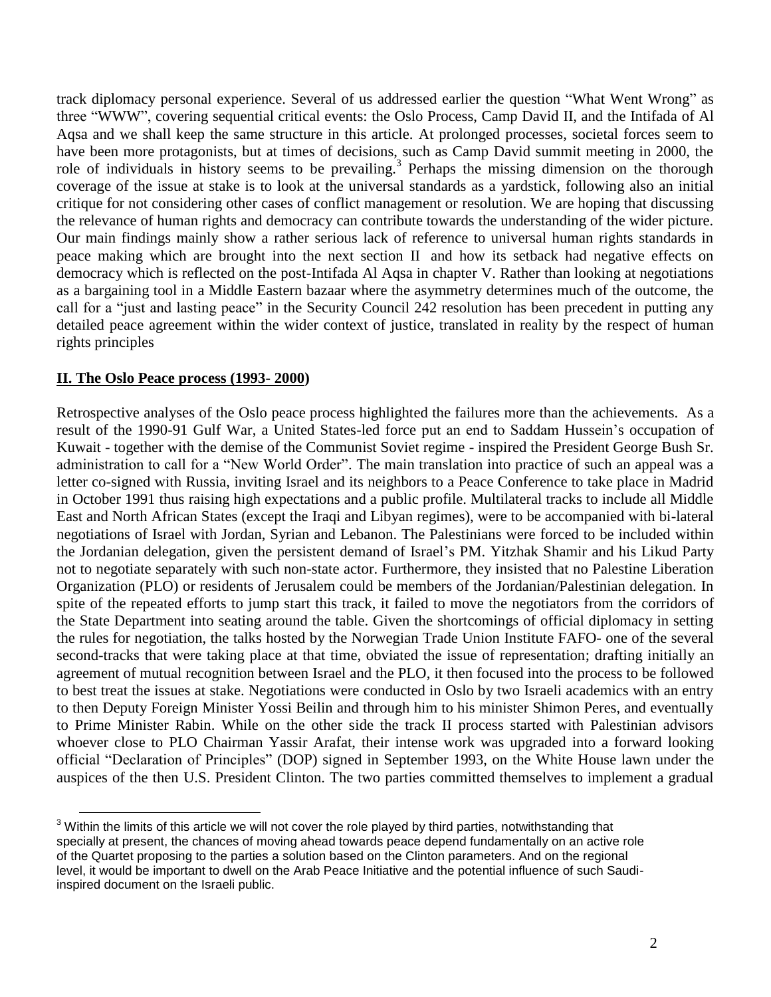track diplomacy personal experience. Several of us addressed earlier the question "What Went Wrong" as three "WWW", covering sequential critical events: the Oslo Process, Camp David II, and the Intifada of Al Aqsa and we shall keep the same structure in this article. At prolonged processes, societal forces seem to have been more protagonists, but at times of decisions, such as Camp David summit meeting in 2000, the role of individuals in history seems to be prevailing.<sup>3</sup> Perhaps the missing dimension on the thorough coverage of the issue at stake is to look at the universal standards as a yardstick, following also an initial critique for not considering other cases of conflict management or resolution. We are hoping that discussing the relevance of human rights and democracy can contribute towards the understanding of the wider picture. Our main findings mainly show a rather serious lack of reference to universal human rights standards in peace making which are brought into the next section II and how its setback had negative effects on democracy which is reflected on the post-Intifada Al Aqsa in chapter V. Rather than looking at negotiations as a bargaining tool in a Middle Eastern bazaar where the asymmetry determines much of the outcome, the call for a "just and lasting peace" in the Security Council 242 resolution has been precedent in putting any detailed peace agreement within the wider context of justice, translated in reality by the respect of human rights principles

### **II. The Oslo Peace process (1993- 2000)**

 $\overline{a}$ 

Retrospective analyses of the Oslo peace process highlighted the failures more than the achievements. As a result of the 1990-91 Gulf War, a United States-led force put an end to Saddam Hussein's occupation of Kuwait - together with the demise of the Communist Soviet regime - inspired the President George Bush Sr. administration to call for a "New World Order". The main translation into practice of such an appeal was a letter co-signed with Russia, inviting Israel and its neighbors to a Peace Conference to take place in Madrid in October 1991 thus raising high expectations and a public profile. Multilateral tracks to include all Middle East and North African States (except the Iraqi and Libyan regimes), were to be accompanied with bi-lateral negotiations of Israel with Jordan, Syrian and Lebanon. The Palestinians were forced to be included within the Jordanian delegation, given the persistent demand of Israel's PM. Yitzhak Shamir and his Likud Party not to negotiate separately with such non-state actor. Furthermore, they insisted that no Palestine Liberation Organization (PLO) or residents of Jerusalem could be members of the Jordanian/Palestinian delegation. In spite of the repeated efforts to jump start this track, it failed to move the negotiators from the corridors of the State Department into seating around the table. Given the shortcomings of official diplomacy in setting the rules for negotiation, the talks hosted by the Norwegian Trade Union Institute FAFO- one of the several second-tracks that were taking place at that time, obviated the issue of representation; drafting initially an agreement of mutual recognition between Israel and the PLO, it then focused into the process to be followed to best treat the issues at stake. Negotiations were conducted in Oslo by two Israeli academics with an entry to then Deputy Foreign Minister Yossi Beilin and through him to his minister Shimon Peres, and eventually to Prime Minister Rabin. While on the other side the track II process started with Palestinian advisors whoever close to PLO Chairman Yassir Arafat, their intense work was upgraded into a forward looking official "Declaration of Principles" (DOP) signed in September 1993, on the White House lawn under the auspices of the then U.S. President Clinton. The two parties committed themselves to implement a gradual

 $3$  Within the limits of this article we will not cover the role played by third parties, notwithstanding that specially at present, the chances of moving ahead towards peace depend fundamentally on an active role of the Quartet proposing to the parties a solution based on the Clinton parameters. And on the regional level, it would be important to dwell on the Arab Peace Initiative and the potential influence of such Saudiinspired document on the Israeli public.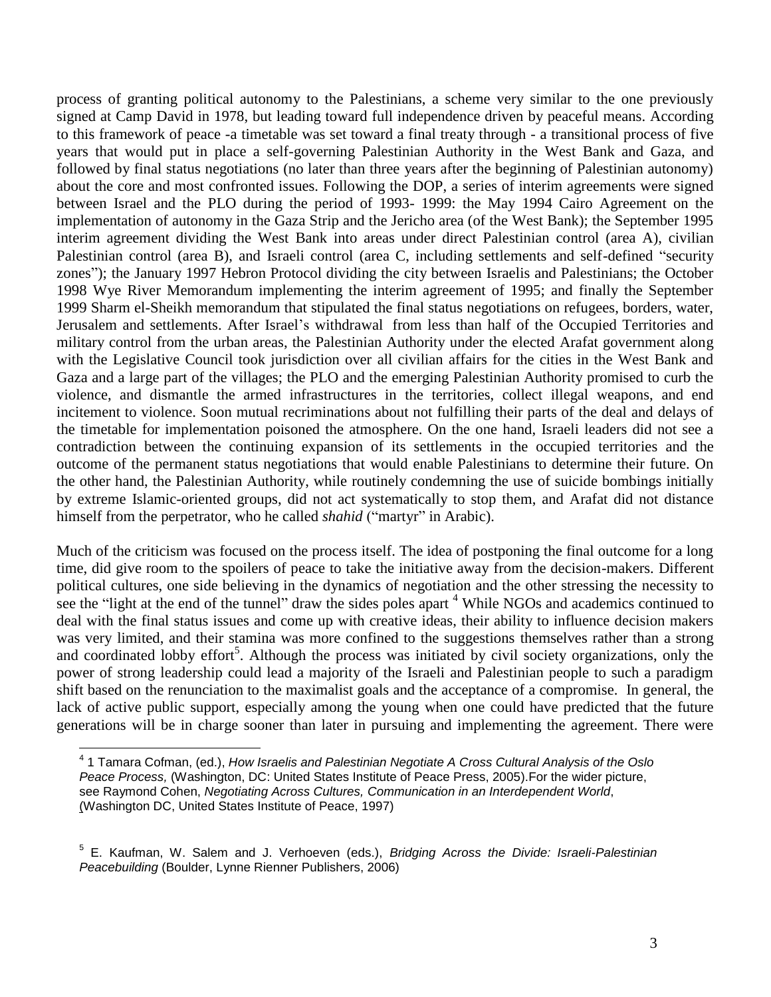process of granting political autonomy to the Palestinians, a scheme very similar to the one previously signed at Camp David in 1978, but leading toward full independence driven by peaceful means. According to this framework of peace -a timetable was set toward a final treaty through - a transitional process of five years that would put in place a self-governing Palestinian Authority in the West Bank and Gaza, and followed by final status negotiations (no later than three years after the beginning of Palestinian autonomy) about the core and most confronted issues. Following the DOP, a series of interim agreements were signed between Israel and the PLO during the period of 1993- 1999: the May 1994 Cairo Agreement on the implementation of autonomy in the Gaza Strip and the Jericho area (of the West Bank); the September 1995 interim agreement dividing the West Bank into areas under direct Palestinian control (area A), civilian Palestinian control (area B), and Israeli control (area C, including settlements and self-defined "security zones"); the January 1997 Hebron Protocol dividing the city between Israelis and Palestinians; the October 1998 Wye River Memorandum implementing the interim agreement of 1995; and finally the September 1999 Sharm el-Sheikh memorandum that stipulated the final status negotiations on refugees, borders, water, Jerusalem and settlements. After Israel's withdrawal from less than half of the Occupied Territories and military control from the urban areas, the Palestinian Authority under the elected Arafat government along with the Legislative Council took jurisdiction over all civilian affairs for the cities in the West Bank and Gaza and a large part of the villages; the PLO and the emerging Palestinian Authority promised to curb the violence, and dismantle the armed infrastructures in the territories, collect illegal weapons, and end incitement to violence. Soon mutual recriminations about not fulfilling their parts of the deal and delays of the timetable for implementation poisoned the atmosphere. On the one hand, Israeli leaders did not see a contradiction between the continuing expansion of its settlements in the occupied territories and the outcome of the permanent status negotiations that would enable Palestinians to determine their future. On the other hand, the Palestinian Authority, while routinely condemning the use of suicide bombings initially by extreme Islamic-oriented groups, did not act systematically to stop them, and Arafat did not distance himself from the perpetrator, who he called *shahid* ("martyr" in Arabic).

Much of the criticism was focused on the process itself. The idea of postponing the final outcome for a long time, did give room to the spoilers of peace to take the initiative away from the decision-makers. Different political cultures, one side believing in the dynamics of negotiation and the other stressing the necessity to see the "light at the end of the tunnel" draw the sides poles apart <sup>4</sup> While NGOs and academics continued to deal with the final status issues and come up with creative ideas, their ability to influence decision makers was very limited, and their stamina was more confined to the suggestions themselves rather than a strong and coordinated lobby effort<sup>5</sup>. Although the process was initiated by civil society organizations, only the power of strong leadership could lead a majority of the Israeli and Palestinian people to such a paradigm shift based on the renunciation to the maximalist goals and the acceptance of a compromise. In general, the lack of active public support, especially among the young when one could have predicted that the future generations will be in charge sooner than later in pursuing and implementing the agreement. There were

<sup>4</sup> 1 Tamara Cofman, (ed.), *How Israelis and Palestinian Negotiate A Cross Cultural Analysis of the Oslo Peace Process,* (Washington, DC: United States Institute of Peace Press, 2005).For the wider picture, see Raymond Cohen, *Negotiating Across Cultures, Communication in an Interdependent World*, (Washington DC, United States Institute of Peace, 1997)

<sup>5</sup> E. Kaufman, W. Salem and J. Verhoeven (eds.), *Bridging Across the Divide: Israeli-Palestinian Peacebuilding* (Boulder, Lynne Rienner Publishers, 2006)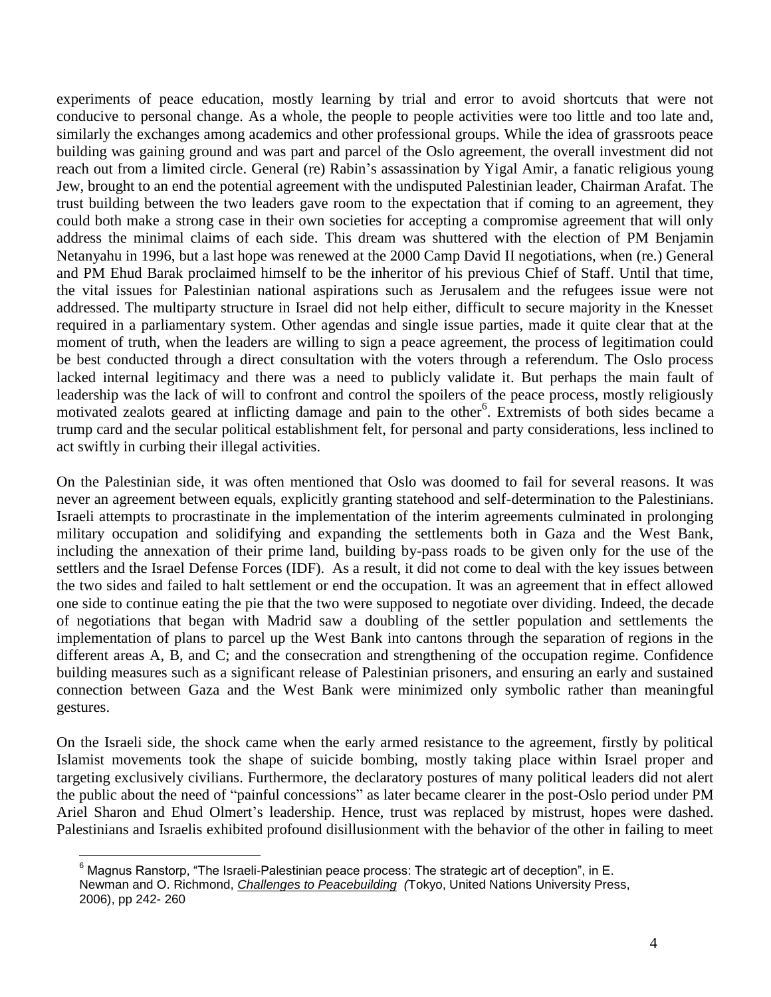experiments of peace education, mostly learning by trial and error to avoid shortcuts that were not conducive to personal change. As a whole, the people to people activities were too little and too late and, similarly the exchanges among academics and other professional groups. While the idea of grassroots peace building was gaining ground and was part and parcel of the Oslo agreement, the overall investment did not reach out from a limited circle. General (re) Rabin's assassination by Yigal Amir, a fanatic religious young Jew, brought to an end the potential agreement with the undisputed Palestinian leader, Chairman Arafat. The trust building between the two leaders gave room to the expectation that if coming to an agreement, they could both make a strong case in their own societies for accepting a compromise agreement that will only address the minimal claims of each side. This dream was shuttered with the election of PM Benjamin Netanyahu in 1996, but a last hope was renewed at the 2000 Camp David II negotiations, when (re.) General and PM Ehud Barak proclaimed himself to be the inheritor of his previous Chief of Staff. Until that time, the vital issues for Palestinian national aspirations such as Jerusalem and the refugees issue were not addressed. The multiparty structure in Israel did not help either, difficult to secure majority in the Knesset required in a parliamentary system. Other agendas and single issue parties, made it quite clear that at the moment of truth, when the leaders are willing to sign a peace agreement, the process of legitimation could be best conducted through a direct consultation with the voters through a referendum. The Oslo process lacked internal legitimacy and there was a need to publicly validate it. But perhaps the main fault of leadership was the lack of will to confront and control the spoilers of the peace process, mostly religiously motivated zealots geared at inflicting damage and pain to the other<sup>6</sup>. Extremists of both sides became a trump card and the secular political establishment felt, for personal and party considerations, less inclined to act swiftly in curbing their illegal activities.

On the Palestinian side, it was often mentioned that Oslo was doomed to fail for several reasons. It was never an agreement between equals, explicitly granting statehood and self-determination to the Palestinians. Israeli attempts to procrastinate in the implementation of the interim agreements culminated in prolonging military occupation and solidifying and expanding the settlements both in Gaza and the West Bank, including the annexation of their prime land, building by-pass roads to be given only for the use of the settlers and the Israel Defense Forces (IDF). As a result, it did not come to deal with the key issues between the two sides and failed to halt settlement or end the occupation. It was an agreement that in effect allowed one side to continue eating the pie that the two were supposed to negotiate over dividing. Indeed, the decade of negotiations that began with Madrid saw a doubling of the settler population and settlements the implementation of plans to parcel up the West Bank into cantons through the separation of regions in the different areas A, B, and C; and the consecration and strengthening of the occupation regime. Confidence building measures such as a significant release of Palestinian prisoners, and ensuring an early and sustained connection between Gaza and the West Bank were minimized only symbolic rather than meaningful gestures.

On the Israeli side, the shock came when the early armed resistance to the agreement, firstly by political Islamist movements took the shape of suicide bombing, mostly taking place within Israel proper and targeting exclusively civilians. Furthermore, the declaratory postures of many political leaders did not alert the public about the need of "painful concessions" as later became clearer in the post-Oslo period under PM Ariel Sharon and Ehud Olmert's leadership. Hence, trust was replaced by mistrust, hopes were dashed. Palestinians and Israelis exhibited profound disillusionment with the behavior of the other in failing to meet

 $6$  Magnus Ranstorp, "The Israeli-Palestinian peace process: The strategic art of deception", in E. Newman and O. Richmond, *Challenges to Peacebuilding (*Tokyo, United Nations University Press, 2006), pp 242- 260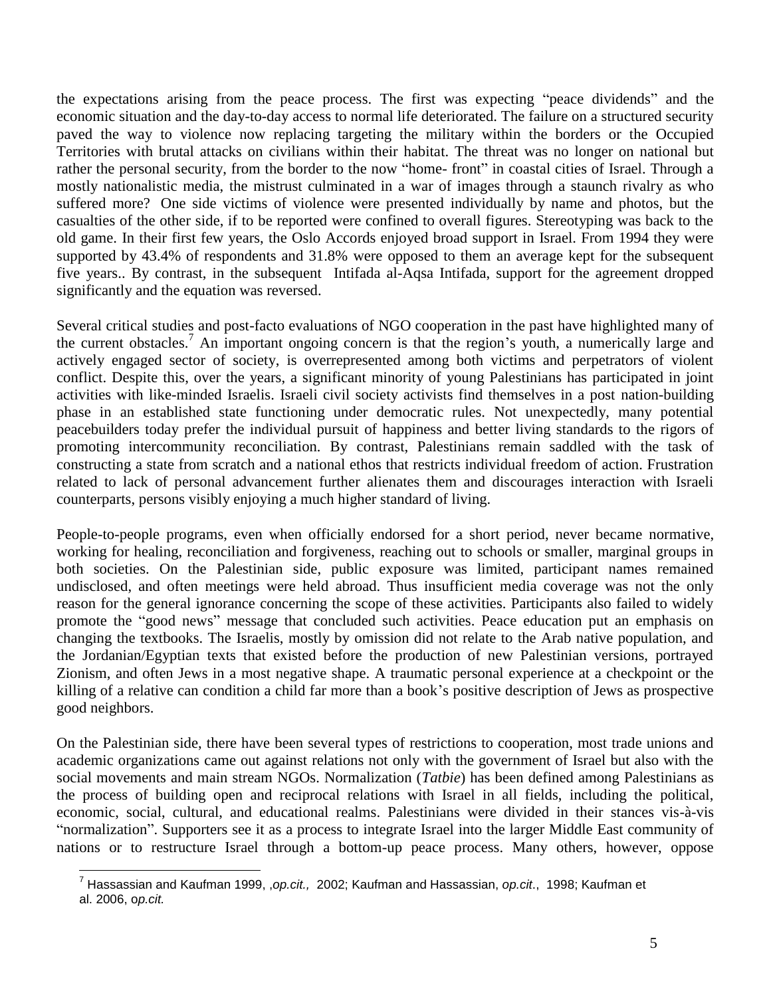the expectations arising from the peace process. The first was expecting "peace dividends" and the economic situation and the day-to-day access to normal life deteriorated. The failure on a structured security paved the way to violence now replacing targeting the military within the borders or the Occupied Territories with brutal attacks on civilians within their habitat. The threat was no longer on national but rather the personal security, from the border to the now "home- front" in coastal cities of Israel. Through a mostly nationalistic media, the mistrust culminated in a war of images through a staunch rivalry as who suffered more? One side victims of violence were presented individually by name and photos, but the casualties of the other side, if to be reported were confined to overall figures. Stereotyping was back to the old game. In their first few years, the Oslo Accords enjoyed broad support in Israel. From 1994 they were supported by 43.4% of respondents and 31.8% were opposed to them an average kept for the subsequent five years.. By contrast, in the subsequent Intifada al-Aqsa Intifada, support for the agreement dropped significantly and the equation was reversed.

Several critical studies and post-facto evaluations of NGO cooperation in the past have highlighted many of the current obstacles. <sup>7</sup> An important ongoing concern is that the region's youth, a numerically large and actively engaged sector of society, is overrepresented among both victims and perpetrators of violent conflict. Despite this, over the years, a significant minority of young Palestinians has participated in joint activities with like-minded Israelis. Israeli civil society activists find themselves in a post nation-building phase in an established state functioning under democratic rules. Not unexpectedly, many potential peacebuilders today prefer the individual pursuit of happiness and better living standards to the rigors of promoting intercommunity reconciliation*.* By contrast, Palestinians remain saddled with the task of constructing a state from scratch and a national ethos that restricts individual freedom of action. Frustration related to lack of personal advancement further alienates them and discourages interaction with Israeli counterparts, persons visibly enjoying a much higher standard of living.

People-to-people programs, even when officially endorsed for a short period, never became normative, working for healing, reconciliation and forgiveness, reaching out to schools or smaller, marginal groups in both societies. On the Palestinian side, public exposure was limited, participant names remained undisclosed, and often meetings were held abroad. Thus insufficient media coverage was not the only reason for the general ignorance concerning the scope of these activities. Participants also failed to widely promote the "good news" message that concluded such activities. Peace education put an emphasis on changing the textbooks. The Israelis, mostly by omission did not relate to the Arab native population, and the Jordanian/Egyptian texts that existed before the production of new Palestinian versions, portrayed Zionism, and often Jews in a most negative shape. A traumatic personal experience at a checkpoint or the killing of a relative can condition a child far more than a book's positive description of Jews as prospective good neighbors.

On the Palestinian side, there have been several types of restrictions to cooperation, most trade unions and academic organizations came out against relations not only with the government of Israel but also with the social movements and main stream NGOs. Normalization (*Tatbie*) has been defined among Palestinians as the process of building open and reciprocal relations with Israel in all fields, including the political, economic, social, cultural, and educational realms. Palestinians were divided in their stances vis-à-vis "normalization". Supporters see it as a process to integrate Israel into the larger Middle East community of nations or to restructure Israel through a bottom-up peace process. Many others, however, oppose

<sup>7</sup> Hassassian and Kaufman 1999, ,*op.cit.,* 2002; Kaufman and Hassassian, *op.cit*., 1998; Kaufman et al. 2006, o*p.cit.*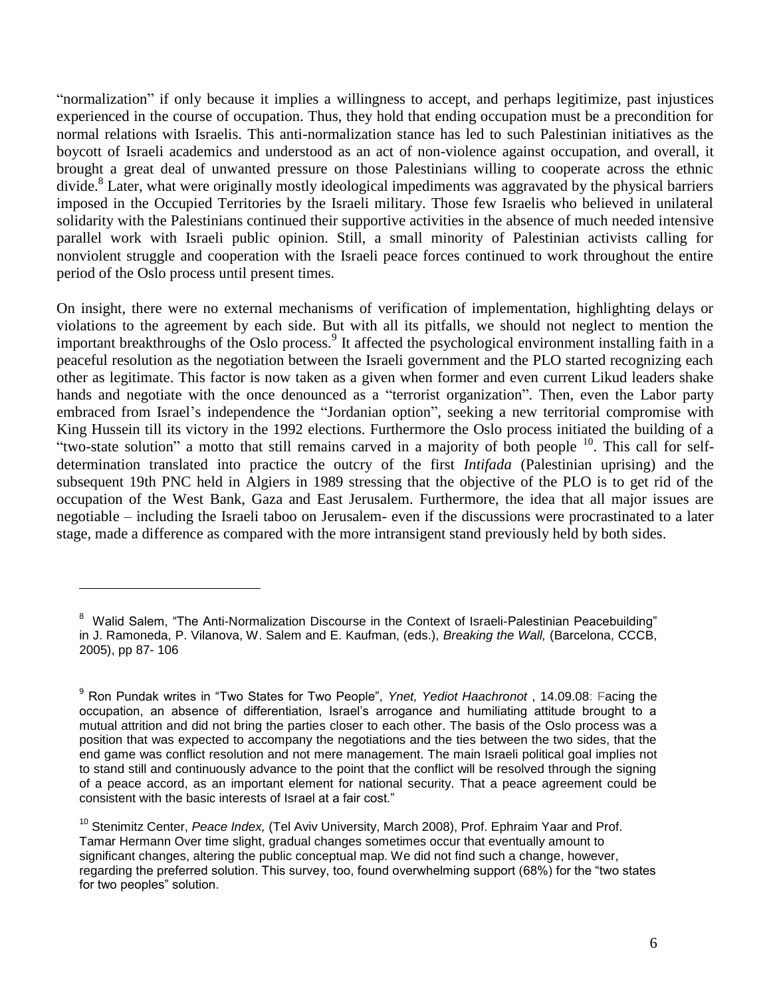"normalization" if only because it implies a willingness to accept, and perhaps legitimize, past injustices experienced in the course of occupation. Thus, they hold that ending occupation must be a precondition for normal relations with Israelis. This anti-normalization stance has led to such Palestinian initiatives as the boycott of Israeli academics and understood as an act of non-violence against occupation, and overall, it brought a great deal of unwanted pressure on those Palestinians willing to cooperate across the ethnic divide. 8 Later, what were originally mostly ideological impediments was aggravated by the physical barriers imposed in the Occupied Territories by the Israeli military. Those few Israelis who believed in unilateral solidarity with the Palestinians continued their supportive activities in the absence of much needed intensive parallel work with Israeli public opinion. Still, a small minority of Palestinian activists calling for nonviolent struggle and cooperation with the Israeli peace forces continued to work throughout the entire period of the Oslo process until present times.

On insight, there were no external mechanisms of verification of implementation, highlighting delays or violations to the agreement by each side. But with all its pitfalls, we should not neglect to mention the important breakthroughs of the Oslo process.<sup>9</sup> It affected the psychological environment installing faith in a peaceful resolution as the negotiation between the Israeli government and the PLO started recognizing each other as legitimate. This factor is now taken as a given when former and even current Likud leaders shake hands and negotiate with the once denounced as a "terrorist organization". Then, even the Labor party embraced from Israel's independence the "Jordanian option", seeking a new territorial compromise with King Hussein till its victory in the 1992 elections. Furthermore the Oslo process initiated the building of a "two-state solution" a motto that still remains carved in a majority of both people <sup>10</sup>. This call for selfdetermination translated into practice the outcry of the first *Intifada* (Palestinian uprising) and the subsequent 19th PNC held in Algiers in 1989 stressing that the objective of the PLO is to get rid of the occupation of the West Bank, Gaza and East Jerusalem. Furthermore, the idea that all major issues are negotiable – including the Israeli taboo on Jerusalem- even if the discussions were procrastinated to a later stage, made a difference as compared with the more intransigent stand previously held by both sides.

<sup>&</sup>lt;sup>8</sup> Walid Salem, "The Anti-Normalization Discourse in the Context of Israeli-Palestinian Peacebuilding" in J. Ramoneda, P. Vilanova, W. Salem and E. Kaufman, (eds.), *Breaking the Wall,* (Barcelona, CCCB, 2005), pp 87- 106

<sup>9</sup> Ron Pundak writes in "Two States for Two People", *Ynet, Yediot Haachronot* , 14.09.08: Facing the occupation, an absence of differentiation, Israel's arrogance and humiliating attitude brought to a mutual attrition and did not bring the parties closer to each other. The basis of the Oslo process was a position that was expected to accompany the negotiations and the ties between the two sides, that the end game was conflict resolution and not mere management. The main Israeli political goal implies not to stand still and continuously advance to the point that the conflict will be resolved through the signing of a peace accord, as an important element for national security. That a peace agreement could be consistent with the basic interests of Israel at a fair cost."

<sup>10</sup> Stenimitz Center, *Peace Index,* (Tel Aviv University, March 2008), Prof. Ephraim Yaar and Prof. Tamar Hermann Over time slight, gradual changes sometimes occur that eventually amount to significant changes, altering the public conceptual map. We did not find such a change, however, regarding the preferred solution. This survey, too, found overwhelming support (68%) for the "two states for two peoples" solution.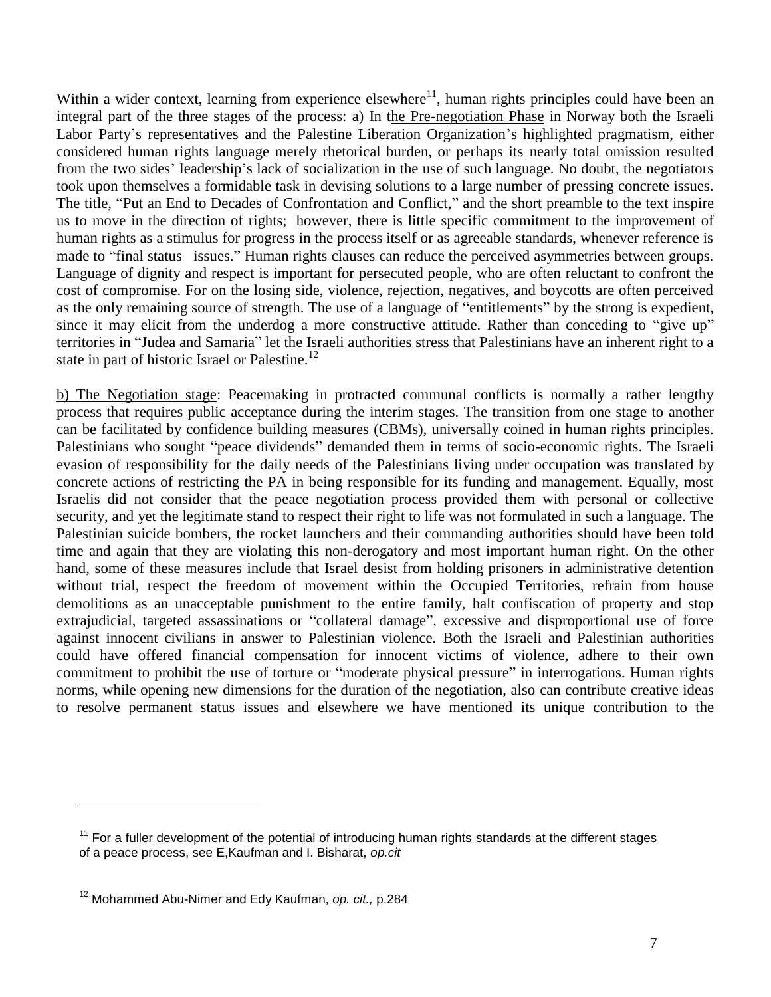Within a wider context, learning from experience elsewhere $11$ , human rights principles could have been an integral part of the three stages of the process: a) In the Pre-negotiation Phase in Norway both the Israeli Labor Party's representatives and the Palestine Liberation Organization's highlighted pragmatism, either considered human rights language merely rhetorical burden, or perhaps its nearly total omission resulted from the two sides' leadership's lack of socialization in the use of such language. No doubt, the negotiators took upon themselves a formidable task in devising solutions to a large number of pressing concrete issues. The title, "Put an End to Decades of Confrontation and Conflict," and the short preamble to the text inspire us to move in the direction of rights; however, there is little specific commitment to the improvement of human rights as a stimulus for progress in the process itself or as agreeable standards, whenever reference is made to "final status issues." Human rights clauses can reduce the perceived asymmetries between groups. Language of dignity and respect is important for persecuted people, who are often reluctant to confront the cost of compromise. For on the losing side, violence, rejection, negatives, and boycotts are often perceived as the only remaining source of strength. The use of a language of "entitlements" by the strong is expedient, since it may elicit from the underdog a more constructive attitude. Rather than conceding to "give up" territories in "Judea and Samaria" let the Israeli authorities stress that Palestinians have an inherent right to a state in part of historic Israel or Palestine.<sup>12</sup>

b) The Negotiation stage: Peacemaking in protracted communal conflicts is normally a rather lengthy process that requires public acceptance during the interim stages. The transition from one stage to another can be facilitated by confidence building measures (CBMs), universally coined in human rights principles. Palestinians who sought "peace dividends" demanded them in terms of socio-economic rights. The Israeli evasion of responsibility for the daily needs of the Palestinians living under occupation was translated by concrete actions of restricting the PA in being responsible for its funding and management. Equally, most Israelis did not consider that the peace negotiation process provided them with personal or collective security, and yet the legitimate stand to respect their right to life was not formulated in such a language. The Palestinian suicide bombers, the rocket launchers and their commanding authorities should have been told time and again that they are violating this non-derogatory and most important human right. On the other hand, some of these measures include that Israel desist from holding prisoners in administrative detention without trial, respect the freedom of movement within the Occupied Territories, refrain from house demolitions as an unacceptable punishment to the entire family, halt confiscation of property and stop extrajudicial, targeted assassinations or "collateral damage", excessive and disproportional use of force against innocent civilians in answer to Palestinian violence. Both the Israeli and Palestinian authorities could have offered financial compensation for innocent victims of violence, adhere to their own commitment to prohibit the use of torture or "moderate physical pressure" in interrogations. Human rights norms, while opening new dimensions for the duration of the negotiation, also can contribute creative ideas to resolve permanent status issues and elsewhere we have mentioned its unique contribution to the

 $11$  For a fuller development of the potential of introducing human rights standards at the different stages of a peace process, see E,Kaufman and I. Bisharat, *op.cit*

<sup>12</sup> Mohammed Abu-Nimer and Edy Kaufman, *op. cit.,* p.284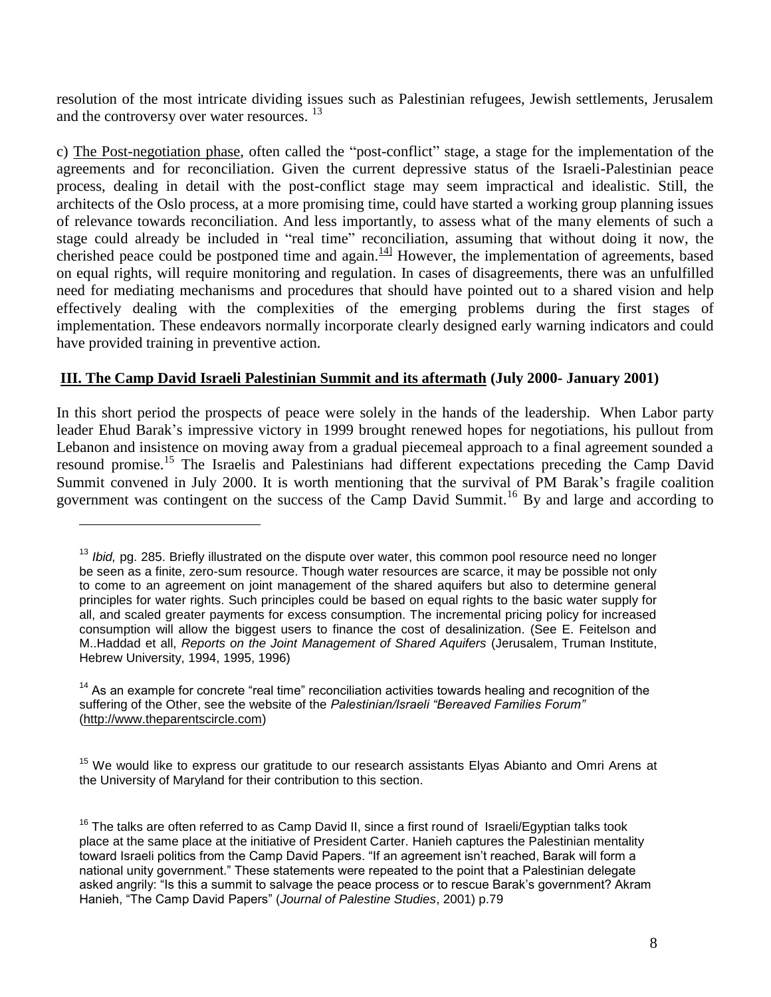resolution of the most intricate dividing issues such as Palestinian refugees, Jewish settlements, Jerusalem and the controversy over water resources.<sup>13</sup>

c) The Post-negotiation phase, often called the "post-conflict" stage, a stage for the implementation of the agreements and for reconciliation. Given the current depressive status of the Israeli-Palestinian peace process, dealing in detail with the post-conflict stage may seem impractical and idealistic. Still, the architects of the Oslo process, at a more promising time, could have started a working group planning issues of relevance towards reconciliation. And less importantly, to assess what of the many elements of such a stage could already be included in "real time" reconciliation, assuming that without doing it now, the cherished peace could be postponed time and again. $\frac{141}{14}$  However, the implementation of agreements, based on equal rights, will require monitoring and regulation. In cases of disagreements, there was an unfulfilled need for mediating mechanisms and procedures that should have pointed out to a shared vision and help effectively dealing with the complexities of the emerging problems during the first stages of implementation. These endeavors normally incorporate clearly designed early warning indicators and could have provided training in preventive action.

## **III. The Camp David Israeli Palestinian Summit and its aftermath (July 2000- January 2001)**

In this short period the prospects of peace were solely in the hands of the leadership. When Labor party leader Ehud Barak's impressive victory in 1999 brought renewed hopes for negotiations, his pullout from Lebanon and insistence on moving away from a gradual piecemeal approach to a final agreement sounded a resound promise.<sup>15</sup> The Israelis and Palestinians had different expectations preceding the Camp David Summit convened in July 2000. It is worth mentioning that the survival of PM Barak's fragile coalition government was contingent on the success of the Camp David Summit.<sup>16</sup> By and large and according to

<sup>&</sup>lt;sup>13</sup> *Ibid,* pg. 285. Briefly illustrated on the dispute over water, this common pool resource need no longer be seen as a finite, zero-sum resource. Though water resources are scarce, it may be possible not only to come to an agreement on joint management of the shared aquifers but also to determine general principles for water rights. Such principles could be based on equal rights to the basic water supply for all, and scaled greater payments for excess consumption. The incremental pricing policy for increased consumption will allow the biggest users to finance the cost of desalinization. (See E. Feitelson and M..Haddad et all, *Reports on the Joint Management of Shared Aquifers* (Jerusalem, Truman Institute, Hebrew University, 1994, 1995, 1996)

 $14$  As an example for concrete "real time" reconciliation activities towards healing and recognition of the suffering of the Other, see the website of the *Palestinian/Israeli "Bereaved Families Forum"* [\(http://www.theparentscircle.com\)](http://www.theparentscircle.com/)

 $15$  We would like to express our gratitude to our research assistants Elyas Abianto and Omri Arens at the University of Maryland for their contribution to this section.

 $16$  The talks are often referred to as Camp David II, since a first round of Israeli/Egyptian talks took place at the same place at the initiative of President Carter. Hanieh captures the Palestinian mentality toward Israeli politics from the Camp David Papers. "If an agreement isn't reached, Barak will form a national unity government." These statements were repeated to the point that a Palestinian delegate asked angrily: "Is this a summit to salvage the peace process or to rescue Barak's government? Akram Hanieh, "The Camp David Papers" (*Journal of Palestine Studies*, 2001) p.79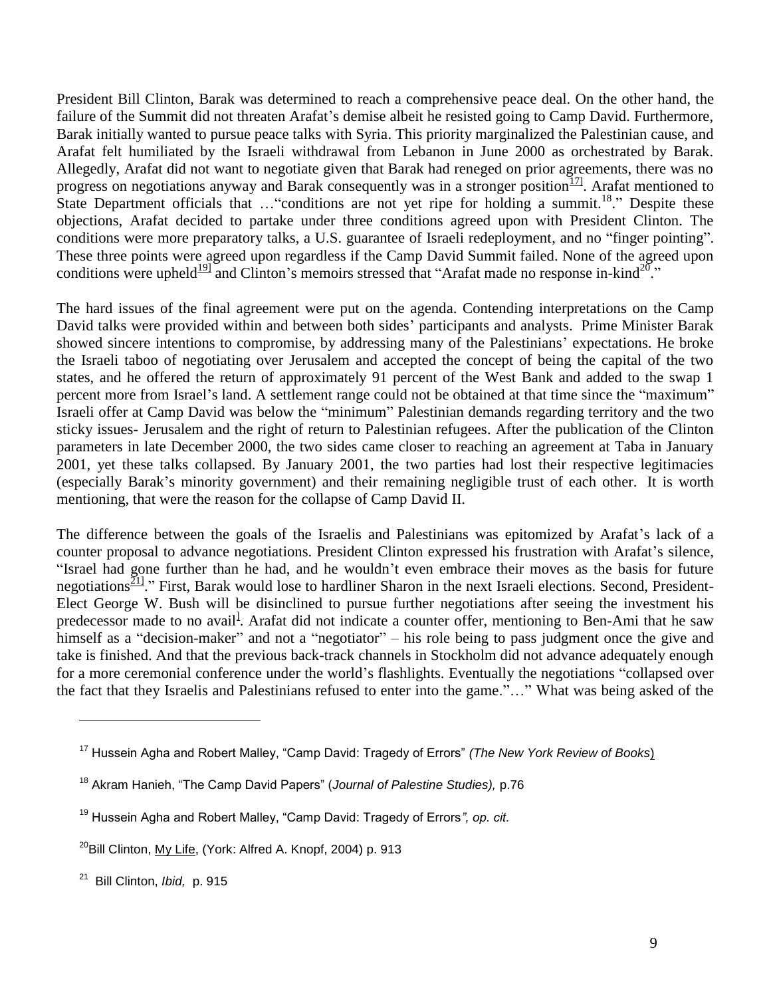President Bill Clinton, Barak was determined to reach a comprehensive peace deal. On the other hand, the failure of the Summit did not threaten Arafat's demise albeit he resisted going to Camp David. Furthermore, Barak initially wanted to pursue peace talks with Syria. This priority marginalized the Palestinian cause, and Arafat felt humiliated by the Israeli withdrawal from Lebanon in June 2000 as orchestrated by Barak. Allegedly, Arafat did not want to negotiate given that Barak had reneged on prior agreements, there was no progress on negotiations anyway and Barak consequently was in a stronger position<sup>171</sup>. Arafat mentioned to State Department officials that ... "conditions are not yet ripe for holding a summit.<sup>18</sup>." Despite these objections, Arafat decided to partake under three conditions agreed upon with President Clinton. The conditions were more preparatory talks, a U.S. guarantee of Israeli redeployment, and no "finger pointing". These three points were agreed upon regardless if the Camp David Summit failed. None of the agreed upon conditions were upheld $191$  and Clinton's memoirs stressed that "Arafat made no response in-kind $20$ ".

The hard issues of the final agreement were put on the agenda. Contending interpretations on the Camp David talks were provided within and between both sides' participants and analysts. Prime Minister Barak showed sincere intentions to compromise, by addressing many of the Palestinians' expectations. He broke the Israeli taboo of negotiating over Jerusalem and accepted the concept of being the capital of the two states, and he offered the return of approximately 91 percent of the West Bank and added to the swap 1 percent more from Israel's land. A settlement range could not be obtained at that time since the "maximum" Israeli offer at Camp David was below the "minimum" Palestinian demands regarding territory and the two sticky issues- Jerusalem and the right of return to Palestinian refugees. After the publication of the Clinton parameters in late December 2000, the two sides came closer to reaching an agreement at Taba in January 2001, yet these talks collapsed. By January 2001, the two parties had lost their respective legitimacies (especially Barak's minority government) and their remaining negligible trust of each other. It is worth mentioning, that were the reason for the collapse of Camp David II.

The difference between the goals of the Israelis and Palestinians was epitomized by Arafat's lack of a counter proposal to advance negotiations. President Clinton expressed his frustration with Arafat's silence, "Israel had gone further than he had, and he wouldn't even embrace their moves as the basis for future negotiations<sup>211</sup>." First, Barak would lose to hardliner Sharon in the next Israeli elections. Second, President-Elect George W. Bush will be disinclined to pursue further negotiations after seeing the investment his predecessor made to no avail<sup>1</sup>. Arafat did not indicate a counter offer, mentioning to Ben-Ami that he saw himself as a "decision-maker" and not a "negotiator" – his role being to pass judgment once the give and take is finished. And that the previous back-track channels in Stockholm did not advance adequately enough for a more ceremonial conference under the world's flashlights. Eventually the negotiations "collapsed over the fact that they Israelis and Palestinians refused to enter into the game."…" What was being asked of the

<sup>17</sup> Hussein Agha and Robert Malley, "Camp David: Tragedy of Errors" *(The New York Review of Books*)

<sup>18</sup> Akram Hanieh, "The Camp David Papers" (*Journal of Palestine Studies),* p.76

<sup>19</sup> Hussein Agha and Robert Malley, "Camp David: Tragedy of Errors*", op. cit.*

 $^{20}$ Bill Clinton, My Life, (York: Alfred A. Knopf, 2004) p. 913

<sup>21</sup> Bill Clinton, *Ibid,* p. 915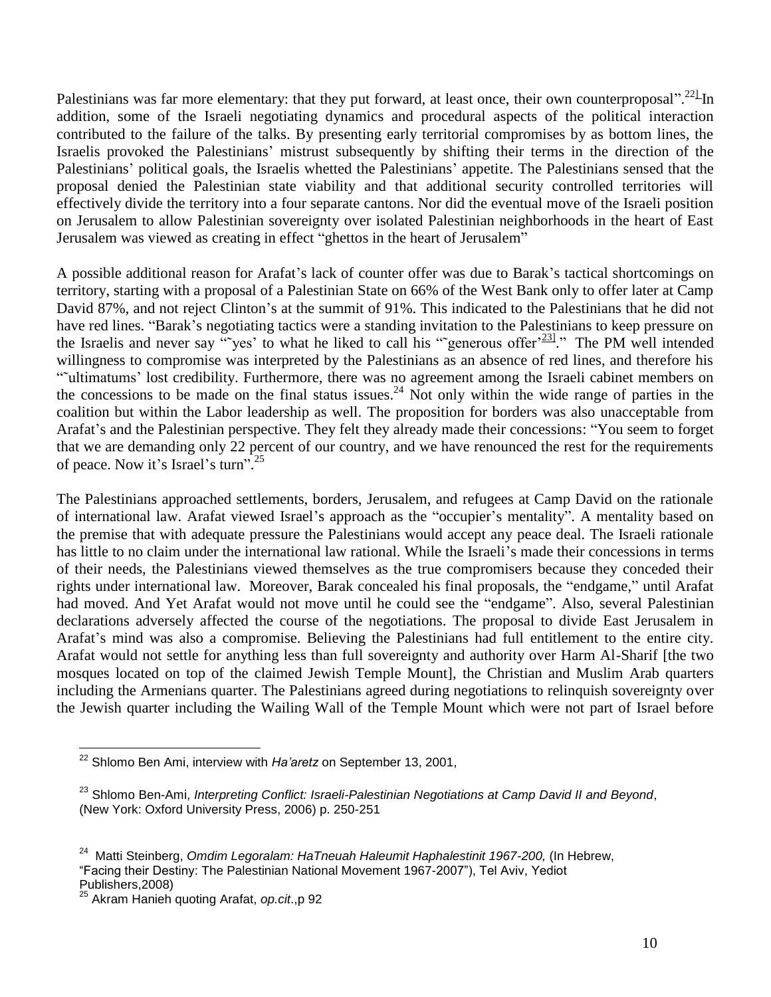Palestinians was far more elementary: that they put forward, at least once, their own counterproposal".<sup>22</sup>-In addition, some of the Israeli negotiating dynamics and procedural aspects of the political interaction contributed to the failure of the talks. By presenting early territorial compromises by as bottom lines, the Israelis provoked the Palestinians' mistrust subsequently by shifting their terms in the direction of the Palestinians' political goals, the Israelis whetted the Palestinians' appetite. The Palestinians sensed that the proposal denied the Palestinian state viability and that additional security controlled territories will effectively divide the territory into a four separate cantons. Nor did the eventual move of the Israeli position on Jerusalem to allow Palestinian sovereignty over isolated Palestinian neighborhoods in the heart of East Jerusalem was viewed as creating in effect "ghettos in the heart of Jerusalem"

A possible additional reason for Arafat's lack of counter offer was due to Barak's tactical shortcomings on territory, starting with a proposal of a Palestinian State on 66% of the West Bank only to offer later at Camp David 87%, and not reject Clinton's at the summit of 91%. This indicated to the Palestinians that he did not have red lines. "Barak's negotiating tactics were a standing invitation to the Palestinians to keep pressure on the Israelis and never say ""yes' to what he liked to call his ""generous offer $\frac{23!}{1}$ ." The PM well intended willingness to compromise was interpreted by the Palestinians as an absence of red lines, and therefore his "˜ultimatums' lost credibility. Furthermore, there was no agreement among the Israeli cabinet members on the concessions to be made on the final status issues.<sup>24</sup> Not only within the wide range of parties in the coalition but within the Labor leadership as well. The proposition for borders was also unacceptable from Arafat's and the Palestinian perspective. They felt they already made their concessions: "You seem to forget that we are demanding only 22 percent of our country, and we have renounced the rest for the requirements of peace. Now it's Israel's turn".<sup>25</sup>

The Palestinians approached settlements, borders, Jerusalem, and refugees at Camp David on the rationale of international law. Arafat viewed Israel's approach as the "occupier's mentality". A mentality based on the premise that with adequate pressure the Palestinians would accept any peace deal. The Israeli rationale has little to no claim under the international law rational. While the Israeli's made their concessions in terms of their needs, the Palestinians viewed themselves as the true compromisers because they conceded their rights under international law. Moreover, Barak concealed his final proposals, the "endgame," until Arafat had moved. And Yet Arafat would not move until he could see the "endgame". Also, several Palestinian declarations adversely affected the course of the negotiations. The proposal to divide East Jerusalem in Arafat's mind was also a compromise. Believing the Palestinians had full entitlement to the entire city. Arafat would not settle for anything less than full sovereignty and authority over Harm Al-Sharif [the two mosques located on top of the claimed Jewish Temple Mount], the Christian and Muslim Arab quarters including the Armenians quarter. The Palestinians agreed during negotiations to relinquish sovereignty over the Jewish quarter including the Wailing Wall of the Temple Mount which were not part of Israel before

 $\overline{a}$ <sup>22</sup> Shlomo Ben Ami, interview with *Ha'aretz* on September 13, 2001,

<sup>23</sup> Shlomo Ben-Ami, *Interpreting Conflict: Israeli-Palestinian Negotiations at Camp David II and Beyond*, (New York: Oxford University Press, 2006) p. 250-251

<sup>24</sup> Matti Steinberg, *Omdim Legoralam: HaTneuah Haleumit Haphalestinit 1967-200,* (In Hebrew, "Facing their Destiny: The Palestinian National Movement 1967-2007"), Tel Aviv, Yediot Publishers,2008)

<sup>25</sup> Akram Hanieh quoting Arafat, *op.cit*.,p 92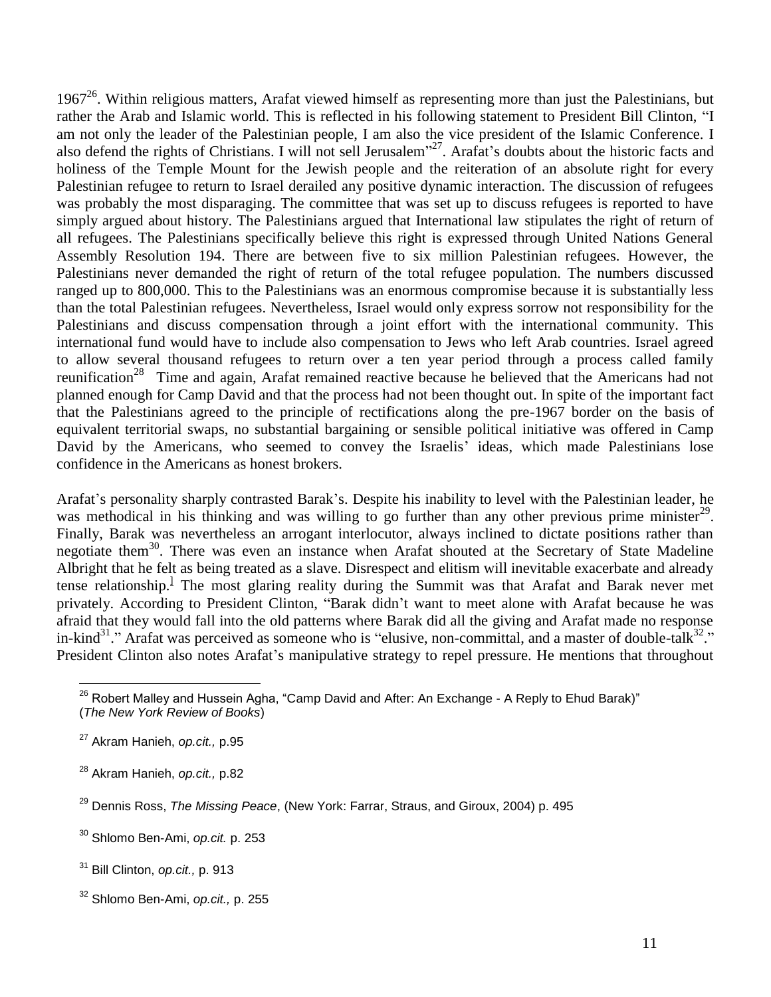$1967<sup>26</sup>$ . Within religious matters, Arafat viewed himself as representing more than just the Palestinians, but rather the Arab and Islamic world. This is reflected in his following statement to President Bill Clinton, "I am not only the leader of the Palestinian people, I am also the vice president of the Islamic Conference. I also defend the rights of Christians. I will not sell Jerusalem"<sup>27</sup>. Arafat's doubts about the historic facts and holiness of the Temple Mount for the Jewish people and the reiteration of an absolute right for every Palestinian refugee to return to Israel derailed any positive dynamic interaction. The discussion of refugees was probably the most disparaging. The committee that was set up to discuss refugees is reported to have simply argued about history. The Palestinians argued that International law stipulates the right of return of all refugees. The Palestinians specifically believe this right is expressed through United Nations General Assembly Resolution 194. There are between five to six million Palestinian refugees. However, the Palestinians never demanded the right of return of the total refugee population. The numbers discussed ranged up to 800,000. This to the Palestinians was an enormous compromise because it is substantially less than the total Palestinian refugees. Nevertheless, Israel would only express sorrow not responsibility for the Palestinians and discuss compensation through a joint effort with the international community. This international fund would have to include also compensation to Jews who left Arab countries. Israel agreed to allow several thousand refugees to return over a ten year period through a process called family reunification<sup>28</sup> Time and again, Arafat remained reactive because he believed that the Americans had not planned enough for Camp David and that the process had not been thought out. In spite of the important fact that the Palestinians agreed to the principle of rectifications along the pre-1967 border on the basis of equivalent territorial swaps, no substantial bargaining or sensible political initiative was offered in Camp David by the Americans, who seemed to convey the Israelis' ideas, which made Palestinians lose confidence in the Americans as honest brokers.

Arafat's personality sharply contrasted Barak's. Despite his inability to level with the Palestinian leader, he was methodical in his thinking and was willing to go further than any other previous prime minister<sup>29</sup>. Finally, Barak was nevertheless an arrogant interlocutor, always inclined to dictate positions rather than negotiate them<sup>30</sup>. There was even an instance when Arafat shouted at the Secretary of State Madeline Albright that he felt as being treated as a slave. Disrespect and elitism will inevitable exacerbate and already tense relationship.<sup>1</sup> The most glaring reality during the Summit was that Arafat and Barak never met privately. According to President Clinton, "Barak didn't want to meet alone with Arafat because he was afraid that they would fall into the old patterns where Barak did all the giving and Arafat made no response in-kind<sup>31</sup>." Arafat was perceived as someone who is "elusive, non-committal, and a master of double-talk<sup>32</sup>." President Clinton also notes Arafat's manipulative strategy to repel pressure. He mentions that throughout

 $\overline{a}$  $^{26}$  Robert Malley and Hussein Agha, "Camp David and After: An Exchange - A Reply to Ehud Barak)" (*The New York Review of Books*)

<sup>27</sup> Akram Hanieh, *op.cit.,* p.95

<sup>28</sup> Akram Hanieh, *op.cit.,* p.82

<sup>29</sup> Dennis Ross, *The Missing Peace*, (New York: Farrar, Straus, and Giroux, 2004) p. 495

<sup>30</sup> Shlomo Ben-Ami, *op.cit.* p. 253

<sup>31</sup> Bill Clinton, *op.cit.,* p. 913

<sup>32</sup> Shlomo Ben-Ami, *op.cit.,* p. 255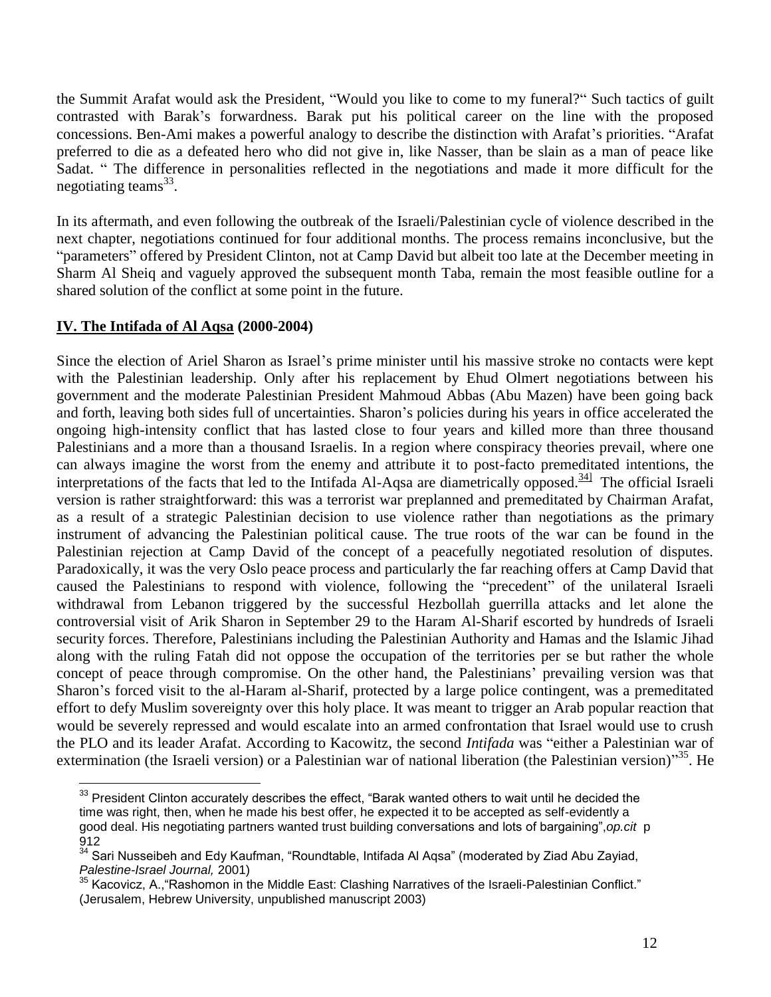the Summit Arafat would ask the President, "Would you like to come to my funeral?" Such tactics of guilt contrasted with Barak's forwardness. Barak put his political career on the line with the proposed concessions. Ben-Ami makes a powerful analogy to describe the distinction with Arafat's priorities. "Arafat preferred to die as a defeated hero who did not give in, like Nasser, than be slain as a man of peace like Sadat. " The difference in personalities reflected in the negotiations and made it more difficult for the negotiating teams<sup>33</sup>.

In its aftermath, and even following the outbreak of the Israeli/Palestinian cycle of violence described in the next chapter, negotiations continued for four additional months. The process remains inconclusive, but the "parameters" offered by President Clinton, not at Camp David but albeit too late at the December meeting in Sharm Al Sheiq and vaguely approved the subsequent month Taba, remain the most feasible outline for a shared solution of the conflict at some point in the future.

# **IV. The Intifada of Al Aqsa (2000-2004)**

Since the election of Ariel Sharon as Israel's prime minister until his massive stroke no contacts were kept with the Palestinian leadership. Only after his replacement by Ehud Olmert negotiations between his government and the moderate Palestinian President Mahmoud Abbas (Abu Mazen) have been going back and forth, leaving both sides full of uncertainties. Sharon's policies during his years in office accelerated the ongoing high-intensity conflict that has lasted close to four years and killed more than three thousand Palestinians and a more than a thousand Israelis. In a region where conspiracy theories prevail, where one can always imagine the worst from the enemy and attribute it to post-facto premeditated intentions, the interpretations of the facts that led to the Intifada Al-Aqsa are diametrically opposed. $341$  The official Israeli version is rather straightforward: this was a terrorist war preplanned and premeditated by Chairman Arafat, as a result of a strategic Palestinian decision to use violence rather than negotiations as the primary instrument of advancing the Palestinian political cause. The true roots of the war can be found in the Palestinian rejection at Camp David of the concept of a peacefully negotiated resolution of disputes. Paradoxically, it was the very Oslo peace process and particularly the far reaching offers at Camp David that caused the Palestinians to respond with violence, following the "precedent" of the unilateral Israeli withdrawal from Lebanon triggered by the successful Hezbollah guerrilla attacks and let alone the controversial visit of Arik Sharon in September 29 to the Haram Al-Sharif escorted by hundreds of Israeli security forces. Therefore, Palestinians including the Palestinian Authority and Hamas and the Islamic Jihad along with the ruling Fatah did not oppose the occupation of the territories per se but rather the whole concept of peace through compromise. On the other hand, the Palestinians' prevailing version was that Sharon's forced visit to the al-Haram al-Sharif, protected by a large police contingent, was a premeditated effort to defy Muslim sovereignty over this holy place. It was meant to trigger an Arab popular reaction that would be severely repressed and would escalate into an armed confrontation that Israel would use to crush the PLO and its leader Arafat. According to Kacowitz, the second *Intifada* was "either a Palestinian war of extermination (the Israeli version) or a Palestinian war of national liberation (the Palestinian version)"<sup>35</sup>. He

 $\overline{a}$  $^{\rm 33}$  President Clinton accurately describes the effect, "Barak wanted others to wait until he decided the time was right, then, when he made his best offer, he expected it to be accepted as self-evidently a good deal. His negotiating partners wanted trust building conversations and lots of bargaining",*op.cit* p 912

<sup>34</sup> Sari Nusseibeh and Edy Kaufman, "Roundtable, Intifada Al Aqsa" (moderated by Ziad Abu Zayiad, *Palestine-Israel Journal,* 2001)

<sup>35</sup> Kacovicz, A.,"Rashomon in the Middle East: Clashing Narratives of the Israeli-Palestinian Conflict." (Jerusalem, Hebrew University, unpublished manuscript 2003)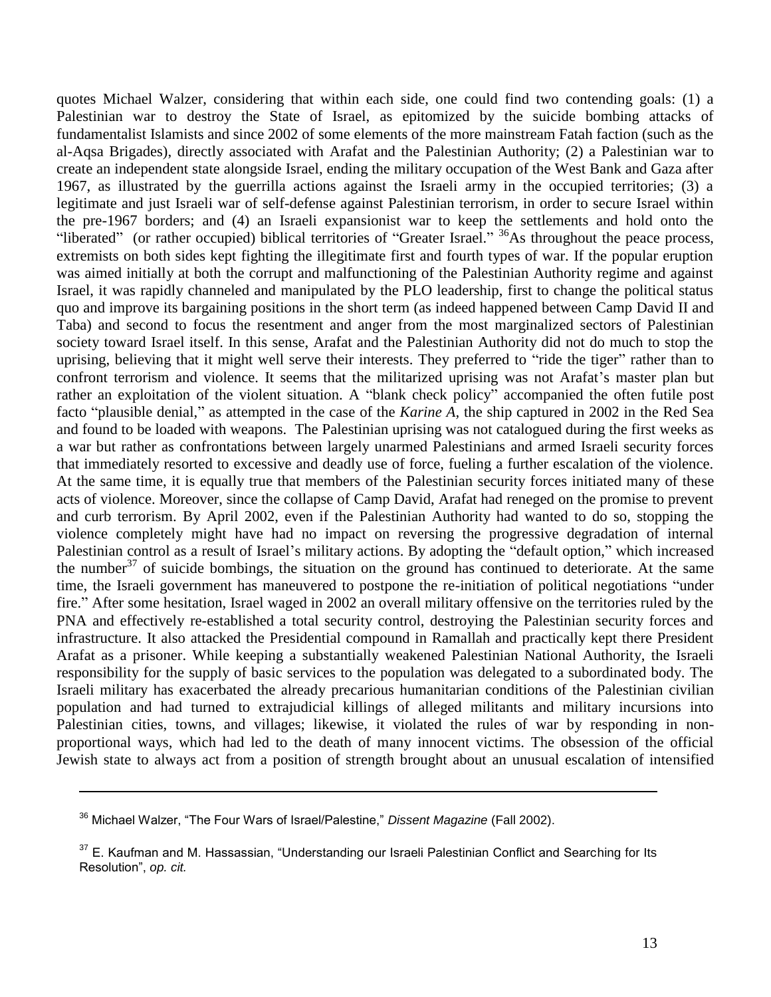quotes Michael Walzer, considering that within each side, one could find two contending goals: (1) a Palestinian war to destroy the State of Israel, as epitomized by the suicide bombing attacks of fundamentalist Islamists and since 2002 of some elements of the more mainstream Fatah faction (such as the al-Aqsa Brigades), directly associated with Arafat and the Palestinian Authority; (2) a Palestinian war to create an independent state alongside Israel, ending the military occupation of the West Bank and Gaza after 1967, as illustrated by the guerrilla actions against the Israeli army in the occupied territories; (3) a legitimate and just Israeli war of self-defense against Palestinian terrorism, in order to secure Israel within the pre-1967 borders; and (4) an Israeli expansionist war to keep the settlements and hold onto the "liberated" (or rather occupied) biblical territories of "Greater Israel." <sup>36</sup>As throughout the peace process, extremists on both sides kept fighting the illegitimate first and fourth types of war. If the popular eruption was aimed initially at both the corrupt and malfunctioning of the Palestinian Authority regime and against Israel, it was rapidly channeled and manipulated by the PLO leadership, first to change the political status quo and improve its bargaining positions in the short term (as indeed happened between Camp David II and Taba) and second to focus the resentment and anger from the most marginalized sectors of Palestinian society toward Israel itself. In this sense, Arafat and the Palestinian Authority did not do much to stop the uprising, believing that it might well serve their interests. They preferred to "ride the tiger" rather than to confront terrorism and violence. It seems that the militarized uprising was not Arafat's master plan but rather an exploitation of the violent situation. A "blank check policy" accompanied the often futile post facto "plausible denial," as attempted in the case of the *Karine A,* the ship captured in 2002 in the Red Sea and found to be loaded with weapons. The Palestinian uprising was not catalogued during the first weeks as a war but rather as confrontations between largely unarmed Palestinians and armed Israeli security forces that immediately resorted to excessive and deadly use of force, fueling a further escalation of the violence. At the same time, it is equally true that members of the Palestinian security forces initiated many of these acts of violence. Moreover, since the collapse of Camp David, Arafat had reneged on the promise to prevent and curb terrorism. By April 2002, even if the Palestinian Authority had wanted to do so, stopping the violence completely might have had no impact on reversing the progressive degradation of internal Palestinian control as a result of Israel's military actions. By adopting the "default option," which increased the number<sup>37</sup> of suicide bombings, the situation on the ground has continued to deteriorate. At the same time, the Israeli government has maneuvered to postpone the re-initiation of political negotiations "under fire." After some hesitation, Israel waged in 2002 an overall military offensive on the territories ruled by the PNA and effectively re-established a total security control, destroying the Palestinian security forces and infrastructure. It also attacked the Presidential compound in Ramallah and practically kept there President Arafat as a prisoner. While keeping a substantially weakened Palestinian National Authority, the Israeli responsibility for the supply of basic services to the population was delegated to a subordinated body. The Israeli military has exacerbated the already precarious humanitarian conditions of the Palestinian civilian population and had turned to extrajudicial killings of alleged militants and military incursions into Palestinian cities, towns, and villages; likewise, it violated the rules of war by responding in nonproportional ways, which had led to the death of many innocent victims. The obsession of the official Jewish state to always act from a position of strength brought about an unusual escalation of intensified

<sup>36</sup> Michael Walzer, "The Four Wars of Israel/Palestine," *Dissent Magazine* (Fall 2002).

 $37$  E. Kaufman and M. Hassassian, "Understanding our Israeli Palestinian Conflict and Searching for Its Resolution", *op. cit.*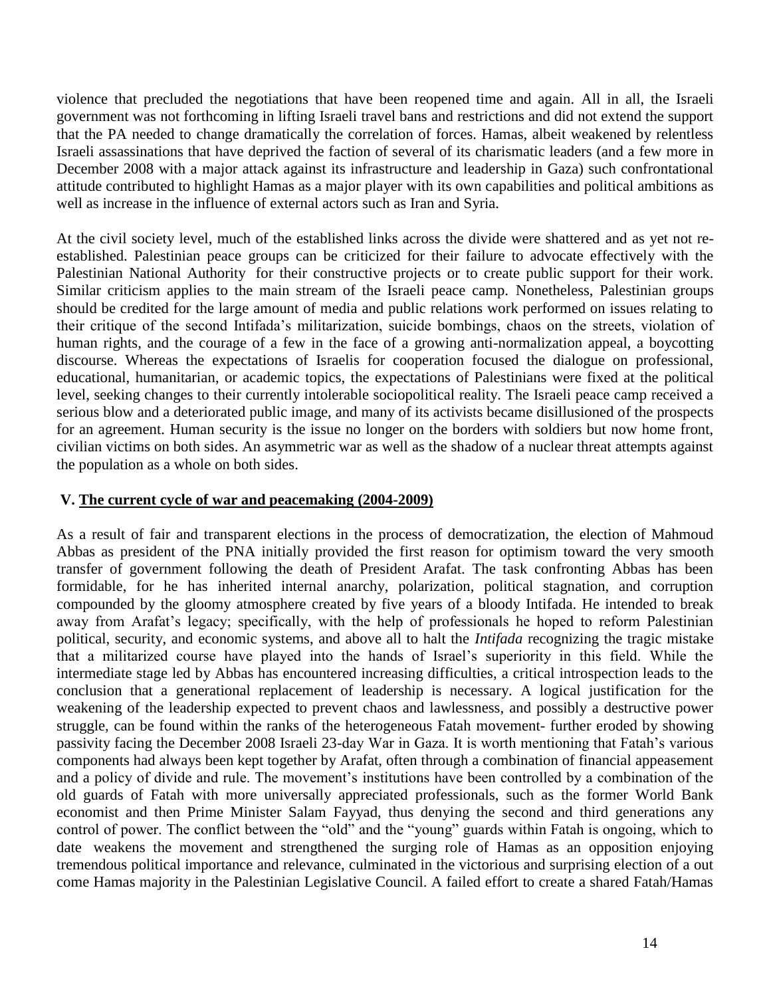violence that precluded the negotiations that have been reopened time and again. All in all, the Israeli government was not forthcoming in lifting Israeli travel bans and restrictions and did not extend the support that the PA needed to change dramatically the correlation of forces. Hamas, albeit weakened by relentless Israeli assassinations that have deprived the faction of several of its charismatic leaders (and a few more in December 2008 with a major attack against its infrastructure and leadership in Gaza) such confrontational attitude contributed to highlight Hamas as a major player with its own capabilities and political ambitions as well as increase in the influence of external actors such as Iran and Syria.

At the civil society level, much of the established links across the divide were shattered and as yet not reestablished. Palestinian peace groups can be criticized for their failure to advocate effectively with the Palestinian National Authority for their constructive projects or to create public support for their work. Similar criticism applies to the main stream of the Israeli peace camp. Nonetheless, Palestinian groups should be credited for the large amount of media and public relations work performed on issues relating to their critique of the second Intifada's militarization, suicide bombings, chaos on the streets, violation of human rights, and the courage of a few in the face of a growing anti-normalization appeal, a boycotting discourse. Whereas the expectations of Israelis for cooperation focused the dialogue on professional, educational, humanitarian, or academic topics, the expectations of Palestinians were fixed at the political level, seeking changes to their currently intolerable sociopolitical reality. The Israeli peace camp received a serious blow and a deteriorated public image, and many of its activists became disillusioned of the prospects for an agreement. Human security is the issue no longer on the borders with soldiers but now home front, civilian victims on both sides. An asymmetric war as well as the shadow of a nuclear threat attempts against the population as a whole on both sides.

### **V. The current cycle of war and peacemaking (2004-2009)**

As a result of fair and transparent elections in the process of democratization, the election of Mahmoud Abbas as president of the PNA initially provided the first reason for optimism toward the very smooth transfer of government following the death of President Arafat. The task confronting Abbas has been formidable, for he has inherited internal anarchy, polarization, political stagnation, and corruption compounded by the gloomy atmosphere created by five years of a bloody Intifada. He intended to break away from Arafat's legacy; specifically, with the help of professionals he hoped to reform Palestinian political, security, and economic systems, and above all to halt the *Intifada* recognizing the tragic mistake that a militarized course have played into the hands of Israel's superiority in this field. While the intermediate stage led by Abbas has encountered increasing difficulties, a critical introspection leads to the conclusion that a generational replacement of leadership is necessary. A logical justification for the weakening of the leadership expected to prevent chaos and lawlessness, and possibly a destructive power struggle, can be found within the ranks of the heterogeneous Fatah movement- further eroded by showing passivity facing the December 2008 Israeli 23-day War in Gaza. It is worth mentioning that Fatah's various components had always been kept together by Arafat, often through a combination of financial appeasement and a policy of divide and rule. The movement's institutions have been controlled by a combination of the old guards of Fatah with more universally appreciated professionals, such as the former World Bank economist and then Prime Minister Salam Fayyad, thus denying the second and third generations any control of power. The conflict between the "old" and the "young" guards within Fatah is ongoing, which to date weakens the movement and strengthened the surging role of Hamas as an opposition enjoying tremendous political importance and relevance, culminated in the victorious and surprising election of a out come Hamas majority in the Palestinian Legislative Council. A failed effort to create a shared Fatah/Hamas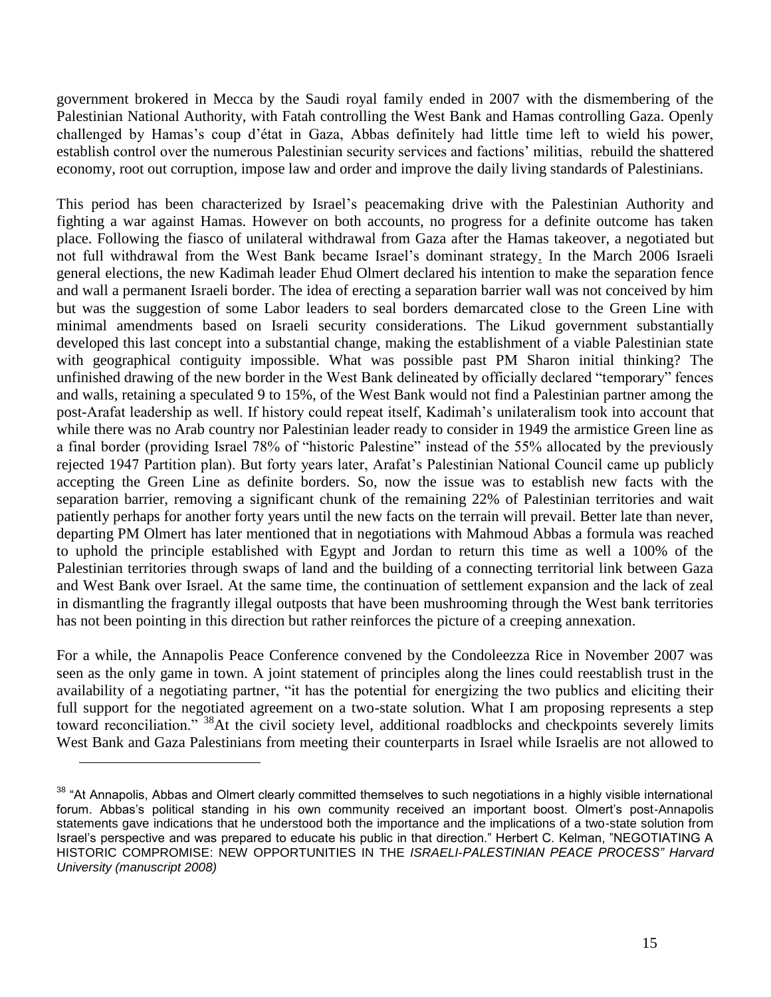government brokered in Mecca by the Saudi royal family ended in 2007 with the dismembering of the Palestinian National Authority, with Fatah controlling the West Bank and Hamas controlling Gaza. Openly challenged by Hamas's coup d'état in Gaza, Abbas definitely had little time left to wield his power, establish control over the numerous Palestinian security services and factions' militias, rebuild the shattered economy, root out corruption, impose law and order and improve the daily living standards of Palestinians.

This period has been characterized by Israel's peacemaking drive with the Palestinian Authority and fighting a war against Hamas. However on both accounts, no progress for a definite outcome has taken place. Following the fiasco of unilateral withdrawal from Gaza after the Hamas takeover, a negotiated but not full withdrawal from the West Bank became Israel's dominant strategy. In the March 2006 Israeli general elections, the new Kadimah leader Ehud Olmert declared his intention to make the separation fence and wall a permanent Israeli border. The idea of erecting a separation barrier wall was not conceived by him but was the suggestion of some Labor leaders to seal borders demarcated close to the Green Line with minimal amendments based on Israeli security considerations. The Likud government substantially developed this last concept into a substantial change, making the establishment of a viable Palestinian state with geographical contiguity impossible. What was possible past PM Sharon initial thinking? The unfinished drawing of the new border in the West Bank delineated by officially declared "temporary" fences and walls, retaining a speculated 9 to 15%, of the West Bank would not find a Palestinian partner among the post-Arafat leadership as well. If history could repeat itself, Kadimah's unilateralism took into account that while there was no Arab country nor Palestinian leader ready to consider in 1949 the armistice Green line as a final border (providing Israel 78% of "historic Palestine" instead of the 55% allocated by the previously rejected 1947 Partition plan). But forty years later, Arafat's Palestinian National Council came up publicly accepting the Green Line as definite borders. So, now the issue was to establish new facts with the separation barrier, removing a significant chunk of the remaining 22% of Palestinian territories and wait patiently perhaps for another forty years until the new facts on the terrain will prevail. Better late than never, departing PM Olmert has later mentioned that in negotiations with Mahmoud Abbas a formula was reached to uphold the principle established with Egypt and Jordan to return this time as well a 100% of the Palestinian territories through swaps of land and the building of a connecting territorial link between Gaza and West Bank over Israel. At the same time, the continuation of settlement expansion and the lack of zeal in dismantling the fragrantly illegal outposts that have been mushrooming through the West bank territories has not been pointing in this direction but rather reinforces the picture of a creeping annexation.

For a while, the Annapolis Peace Conference convened by the Condoleezza Rice in November 2007 was seen as the only game in town. A joint statement of principles along the lines could reestablish trust in the availability of a negotiating partner, "it has the potential for energizing the two publics and eliciting their full support for the negotiated agreement on a two-state solution. What I am proposing represents a step toward reconciliation." <sup>38</sup>At the civil society level, additional roadblocks and checkpoints severely limits West Bank and Gaza Palestinians from meeting their counterparts in Israel while Israelis are not allowed to

 $38$  "At Annapolis, Abbas and Olmert clearly committed themselves to such negotiations in a highly visible international forum. Abbas's political standing in his own community received an important boost. Olmert's post-Annapolis statements gave indications that he understood both the importance and the implications of a two-state solution from Israel's perspective and was prepared to educate his public in that direction." Herbert C. Kelman, "NEGOTIATING A HISTORIC COMPROMISE: NEW OPPORTUNITIES IN THE *ISRAELI-PALESTINIAN PEACE PROCESS" Harvard University (manuscript 2008)*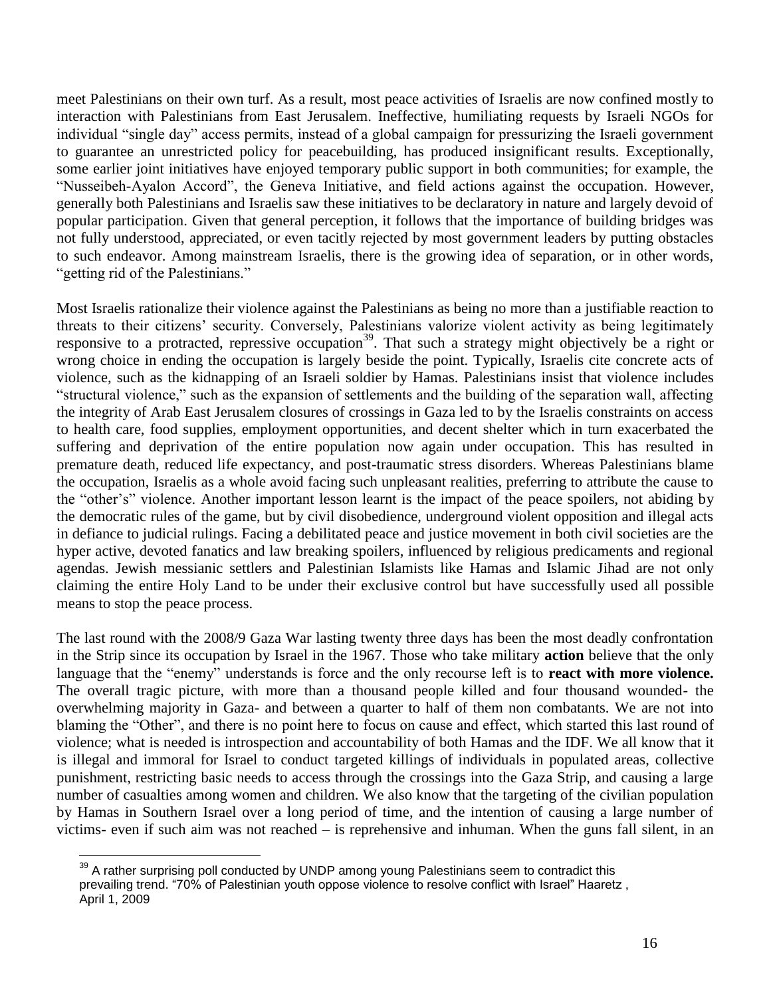meet Palestinians on their own turf. As a result, most peace activities of Israelis are now confined mostly to interaction with Palestinians from East Jerusalem. Ineffective, humiliating requests by Israeli NGOs for individual "single day" access permits, instead of a global campaign for pressurizing the Israeli government to guarantee an unrestricted policy for peacebuilding, has produced insignificant results. Exceptionally, some earlier joint initiatives have enjoyed temporary public support in both communities; for example, the "Nusseibeh-Ayalon Accord", the Geneva Initiative, and field actions against the occupation. However, generally both Palestinians and Israelis saw these initiatives to be declaratory in nature and largely devoid of popular participation. Given that general perception, it follows that the importance of building bridges was not fully understood, appreciated, or even tacitly rejected by most government leaders by putting obstacles to such endeavor. Among mainstream Israelis, there is the growing idea of separation, or in other words, "getting rid of the Palestinians."

Most Israelis rationalize their violence against the Palestinians as being no more than a justifiable reaction to threats to their citizens' security. Conversely, Palestinians valorize violent activity as being legitimately responsive to a protracted, repressive occupation<sup>39</sup>. That such a strategy might objectively be a right or wrong choice in ending the occupation is largely beside the point. Typically, Israelis cite concrete acts of violence, such as the kidnapping of an Israeli soldier by Hamas. Palestinians insist that violence includes "structural violence," such as the expansion of settlements and the building of the separation wall, affecting the integrity of Arab East Jerusalem closures of crossings in Gaza led to by the Israelis constraints on access to health care, food supplies, employment opportunities, and decent shelter which in turn exacerbated the suffering and deprivation of the entire population now again under occupation. This has resulted in premature death, reduced life expectancy, and post-traumatic stress disorders. Whereas Palestinians blame the occupation, Israelis as a whole avoid facing such unpleasant realities, preferring to attribute the cause to the "other's" violence. Another important lesson learnt is the impact of the peace spoilers, not abiding by the democratic rules of the game, but by civil disobedience, underground violent opposition and illegal acts in defiance to judicial rulings. Facing a debilitated peace and justice movement in both civil societies are the hyper active, devoted fanatics and law breaking spoilers, influenced by religious predicaments and regional agendas. Jewish messianic settlers and Palestinian Islamists like Hamas and Islamic Jihad are not only claiming the entire Holy Land to be under their exclusive control but have successfully used all possible means to stop the peace process.

The last round with the 2008/9 Gaza War lasting twenty three days has been the most deadly confrontation in the Strip since its occupation by Israel in the 1967. Those who take military **action** believe that the only language that the "enemy" understands is force and the only recourse left is to **react with more violence.** The overall tragic picture, with more than a thousand people killed and four thousand wounded- the overwhelming majority in Gaza- and between a quarter to half of them non combatants. We are not into blaming the "Other", and there is no point here to focus on cause and effect, which started this last round of violence; what is needed is introspection and accountability of both Hamas and the IDF. We all know that it is illegal and immoral for Israel to conduct targeted killings of individuals in populated areas, collective punishment, restricting basic needs to access through the crossings into the Gaza Strip, and causing a large number of casualties among women and children. We also know that the targeting of the civilian population by Hamas in Southern Israel over a long period of time, and the intention of causing a large number of victims- even if such aim was not reached – is reprehensive and inhuman. When the guns fall silent, in an

 $\overline{a}$  $39$  A rather surprising poll conducted by UNDP among young Palestinians seem to contradict this prevailing trend. "70% of Palestinian youth oppose violence to resolve conflict with Israel" Haaretz, April 1, 2009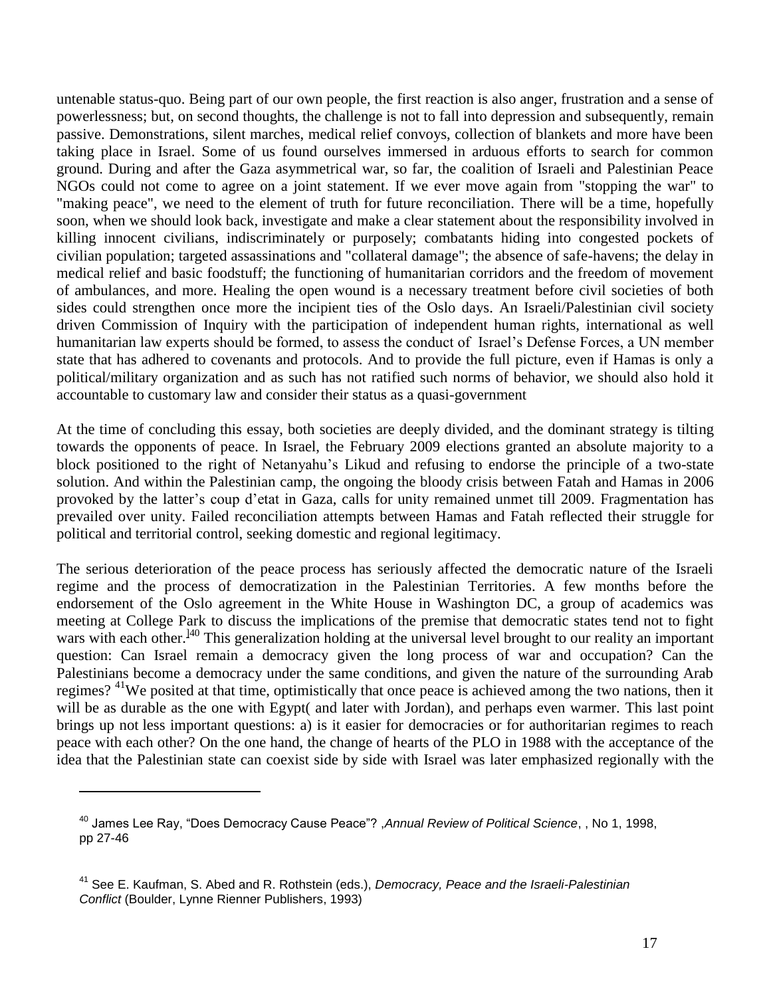untenable status-quo. Being part of our own people, the first reaction is also anger, frustration and a sense of powerlessness; but, on second thoughts, the challenge is not to fall into depression and subsequently, remain passive. Demonstrations, silent marches, medical relief convoys, collection of blankets and more have been taking place in Israel. Some of us found ourselves immersed in arduous efforts to search for common ground. During and after the Gaza asymmetrical war, so far, the coalition of Israeli and Palestinian Peace NGOs could not come to agree on a joint statement. If we ever move again from "stopping the war" to "making peace", we need to the element of truth for future reconciliation. There will be a time, hopefully soon, when we should look back, investigate and make a clear statement about the responsibility involved in killing innocent civilians, indiscriminately or purposely; combatants hiding into congested pockets of civilian population; targeted assassinations and "collateral damage"; the absence of safe-havens; the delay in medical relief and basic foodstuff; the functioning of humanitarian corridors and the freedom of movement of ambulances, and more. Healing the open wound is a necessary treatment before civil societies of both sides could strengthen once more the incipient ties of the Oslo days. An Israeli/Palestinian civil society driven Commission of Inquiry with the participation of independent human rights, international as well humanitarian law experts should be formed, to assess the conduct of Israel's Defense Forces, a UN member state that has adhered to covenants and protocols. And to provide the full picture, even if Hamas is only a political/military organization and as such has not ratified such norms of behavior, we should also hold it accountable to customary law and consider their status as a quasi-government

At the time of concluding this essay, both societies are deeply divided, and the dominant strategy is tilting towards the opponents of peace. In Israel, the February 2009 elections granted an absolute majority to a block positioned to the right of Netanyahu's Likud and refusing to endorse the principle of a two-state solution. And within the Palestinian camp, the ongoing the bloody crisis between Fatah and Hamas in 2006 provoked by the latter's coup d'etat in Gaza, calls for unity remained unmet till 2009. Fragmentation has prevailed over unity. Failed reconciliation attempts between Hamas and Fatah reflected their struggle for political and territorial control, seeking domestic and regional legitimacy.

The serious deterioration of the peace process has seriously affected the democratic nature of the Israeli regime and the process of democratization in the Palestinian Territories. A few months before the endorsement of the Oslo agreement in the White House in Washington DC, a group of academics was meeting at College Park to discuss the implications of the premise that democratic states tend not to fight wars with each other.<sup>140</sup> This generalization holding at the universal level brought to our reality an important question: Can Israel remain a democracy given the long process of war and occupation? Can the Palestinians become a democracy under the same conditions, and given the nature of the surrounding Arab regimes? <sup>41</sup>We posited at that time, optimistically that once peace is achieved among the two nations, then it will be as durable as the one with Egypt( and later with Jordan), and perhaps even warmer. This last point brings up not less important questions: a) is it easier for democracies or for authoritarian regimes to reach peace with each other? On the one hand, the change of hearts of the PLO in 1988 with the acceptance of the idea that the Palestinian state can coexist side by side with Israel was later emphasized regionally with the

<sup>40</sup> James Lee Ray, "Does Democracy Cause Peace"? ,*Annual Review of Political Science*, , No 1, 1998, pp 27-46

<sup>41</sup> See E. Kaufman, S. Abed and R. Rothstein (eds.), *Democracy, Peace and the Israeli-Palestinian Conflict* (Boulder, Lynne Rienner Publishers, 1993)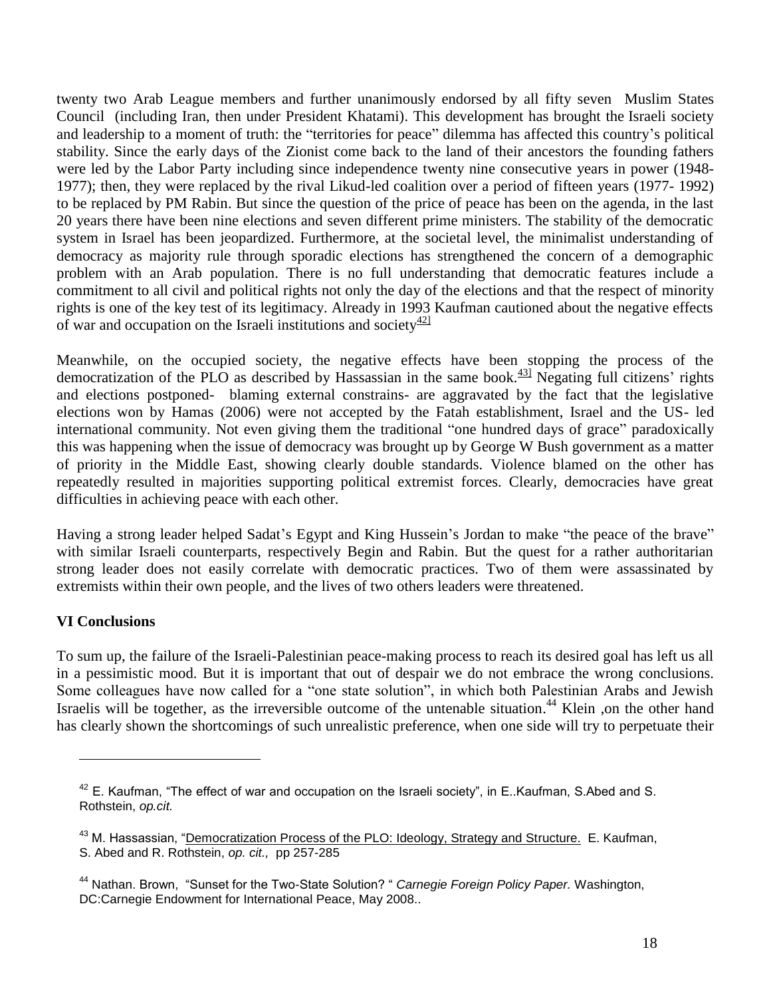twenty two Arab League members and further unanimously endorsed by all fifty seven Muslim States Council (including Iran, then under President Khatami). This development has brought the Israeli society and leadership to a moment of truth: the "territories for peace" dilemma has affected this country's political stability. Since the early days of the Zionist come back to the land of their ancestors the founding fathers were led by the Labor Party including since independence twenty nine consecutive years in power (1948- 1977); then, they were replaced by the rival Likud-led coalition over a period of fifteen years (1977- 1992) to be replaced by PM Rabin. But since the question of the price of peace has been on the agenda, in the last 20 years there have been nine elections and seven different prime ministers. The stability of the democratic system in Israel has been jeopardized. Furthermore, at the societal level, the minimalist understanding of democracy as majority rule through sporadic elections has strengthened the concern of a demographic problem with an Arab population. There is no full understanding that democratic features include a commitment to all civil and political rights not only the day of the elections and that the respect of minority rights is one of the key test of its legitimacy. Already in 1993 Kaufman cautioned about the negative effects of war and occupation on the Israeli institutions and society  $\frac{42}{2}$ 

Meanwhile, on the occupied society, the negative effects have been stopping the process of the democratization of the PLO as described by Hassassian in the same book. $43$ <sup>1</sup> Negating full citizens' rights and elections postponed- blaming external constrains- are aggravated by the fact that the legislative elections won by Hamas (2006) were not accepted by the Fatah establishment, Israel and the US- led international community. Not even giving them the traditional "one hundred days of grace" paradoxically this was happening when the issue of democracy was brought up by George W Bush government as a matter of priority in the Middle East, showing clearly double standards. Violence blamed on the other has repeatedly resulted in majorities supporting political extremist forces. Clearly, democracies have great difficulties in achieving peace with each other.

Having a strong leader helped Sadat's Egypt and King Hussein's Jordan to make "the peace of the brave" with similar Israeli counterparts, respectively Begin and Rabin. But the quest for a rather authoritarian strong leader does not easily correlate with democratic practices. Two of them were assassinated by extremists within their own people, and the lives of two others leaders were threatened.

## **VI Conclusions**

 $\overline{a}$ 

To sum up, the failure of the Israeli-Palestinian peace-making process to reach its desired goal has left us all in a pessimistic mood. But it is important that out of despair we do not embrace the wrong conclusions. Some colleagues have now called for a "one state solution", in which both Palestinian Arabs and Jewish Israelis will be together, as the irreversible outcome of the untenable situation.<sup>44</sup> Klein ,on the other hand has clearly shown the shortcomings of such unrealistic preference, when one side will try to perpetuate their

 $42$  E. Kaufman, "The effect of war and occupation on the Israeli society", in E. Kaufman, S. Abed and S. Rothstein, *op.cit.*

<sup>&</sup>lt;sup>43</sup> M. Hassassian, "Democratization Process of the PLO: Ideology, Strategy and Structure. E. Kaufman, S. Abed and R. Rothstein, *op. cit.,* pp 257-285

<sup>44</sup> Nathan. Brown, "Sunset for the Two-State Solution? " *Carnegie Foreign Policy Paper.* Washington, DC:Carnegie Endowment for International Peace, May 2008..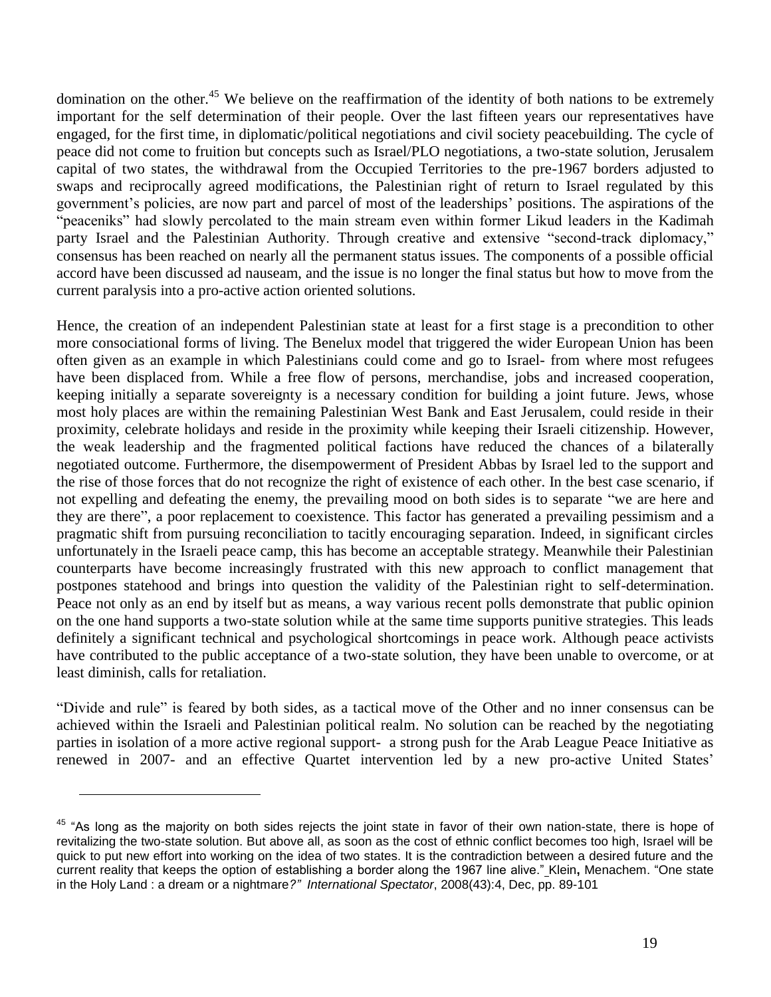domination on the other.<sup>45</sup> We believe on the reaffirmation of the identity of both nations to be extremely important for the self determination of their people. Over the last fifteen years our representatives have engaged, for the first time, in diplomatic/political negotiations and civil society peacebuilding. The cycle of peace did not come to fruition but concepts such as Israel/PLO negotiations, a two-state solution, Jerusalem capital of two states, the withdrawal from the Occupied Territories to the pre-1967 borders adjusted to swaps and reciprocally agreed modifications, the Palestinian right of return to Israel regulated by this government's policies, are now part and parcel of most of the leaderships' positions. The aspirations of the "peaceniks" had slowly percolated to the main stream even within former Likud leaders in the Kadimah party Israel and the Palestinian Authority. Through creative and extensive "second-track diplomacy," consensus has been reached on nearly all the permanent status issues. The components of a possible official accord have been discussed ad nauseam, and the issue is no longer the final status but how to move from the current paralysis into a pro-active action oriented solutions.

Hence, the creation of an independent Palestinian state at least for a first stage is a precondition to other more consociational forms of living. The Benelux model that triggered the wider European Union has been often given as an example in which Palestinians could come and go to Israel- from where most refugees have been displaced from. While a free flow of persons, merchandise, jobs and increased cooperation, keeping initially a separate sovereignty is a necessary condition for building a joint future. Jews, whose most holy places are within the remaining Palestinian West Bank and East Jerusalem, could reside in their proximity, celebrate holidays and reside in the proximity while keeping their Israeli citizenship. However, the weak leadership and the fragmented political factions have reduced the chances of a bilaterally negotiated outcome. Furthermore, the disempowerment of President Abbas by Israel led to the support and the rise of those forces that do not recognize the right of existence of each other. In the best case scenario, if not expelling and defeating the enemy, the prevailing mood on both sides is to separate "we are here and they are there", a poor replacement to coexistence. This factor has generated a prevailing pessimism and a pragmatic shift from pursuing reconciliation to tacitly encouraging separation. Indeed, in significant circles unfortunately in the Israeli peace camp, this has become an acceptable strategy. Meanwhile their Palestinian counterparts have become increasingly frustrated with this new approach to conflict management that postpones statehood and brings into question the validity of the Palestinian right to self-determination. Peace not only as an end by itself but as means, a way various recent polls demonstrate that public opinion on the one hand supports a two-state solution while at the same time supports punitive strategies. This leads definitely a significant technical and psychological shortcomings in peace work. Although peace activists have contributed to the public acceptance of a two-state solution, they have been unable to overcome, or at least diminish, calls for retaliation.

"Divide and rule" is feared by both sides, as a tactical move of the Other and no inner consensus can be achieved within the Israeli and Palestinian political realm. No solution can be reached by the negotiating parties in isolation of a more active regional support- a strong push for the Arab League Peace Initiative as renewed in 2007- and an effective Quartet intervention led by a new pro-active United States'

 $45$  "As long as the majority on both sides rejects the joint state in favor of their own nation-state, there is hope of revitalizing the two-state solution. But above all, as soon as the cost of ethnic conflict becomes too high, Israel will be quick to put new effort into working on the idea of two states. It is the contradiction between a desired future and the current reality that keeps the option of establishing a border along the 1967 line alive." Klein**,** Menachem. "One state in the Holy Land : a dream or a nightmare*?" International Spectator*, 2008(43):4, Dec, pp. 89-101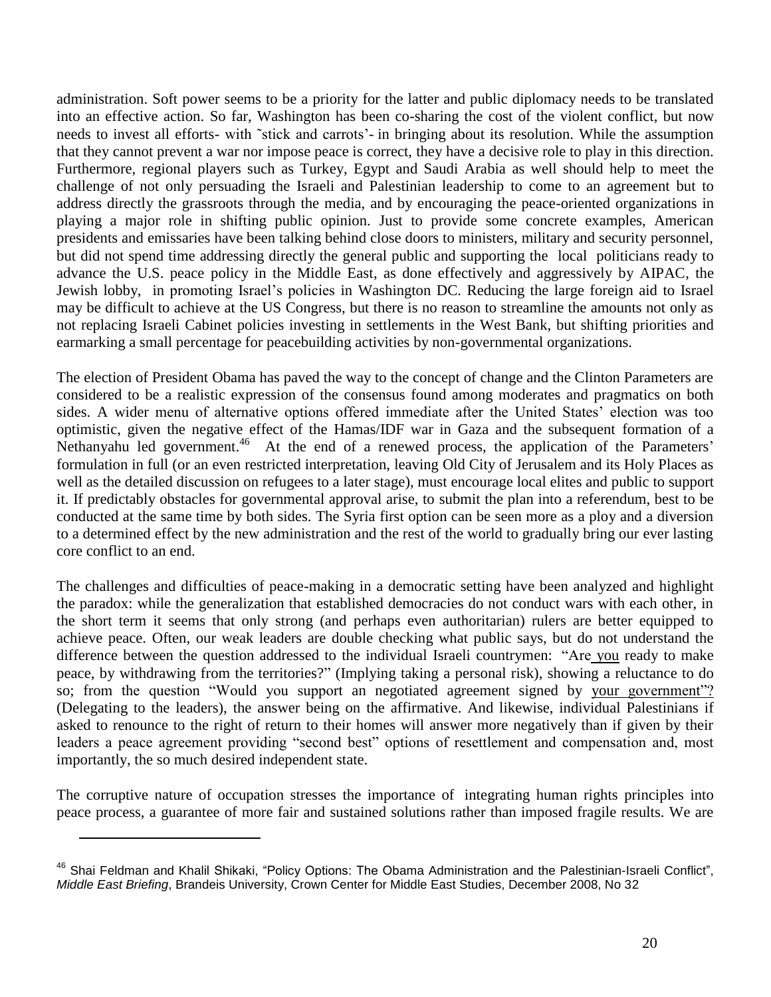administration. Soft power seems to be a priority for the latter and public diplomacy needs to be translated into an effective action. So far, Washington has been co-sharing the cost of the violent conflict, but now needs to invest all efforts- with ˜stick and carrots'- in bringing about its resolution. While the assumption that they cannot prevent a war nor impose peace is correct, they have a decisive role to play in this direction. Furthermore, regional players such as Turkey, Egypt and Saudi Arabia as well should help to meet the challenge of not only persuading the Israeli and Palestinian leadership to come to an agreement but to address directly the grassroots through the media, and by encouraging the peace-oriented organizations in playing a major role in shifting public opinion. Just to provide some concrete examples, American presidents and emissaries have been talking behind close doors to ministers, military and security personnel, but did not spend time addressing directly the general public and supporting the local politicians ready to advance the U.S. peace policy in the Middle East, as done effectively and aggressively by AIPAC, the Jewish lobby, in promoting Israel's policies in Washington DC. Reducing the large foreign aid to Israel may be difficult to achieve at the US Congress, but there is no reason to streamline the amounts not only as not replacing Israeli Cabinet policies investing in settlements in the West Bank, but shifting priorities and earmarking a small percentage for peacebuilding activities by non-governmental organizations.

The election of President Obama has paved the way to the concept of change and the Clinton Parameters are considered to be a realistic expression of the consensus found among moderates and pragmatics on both sides. A wider menu of alternative options offered immediate after the United States' election was too optimistic, given the negative effect of the Hamas/IDF war in Gaza and the subsequent formation of a Nethanyahu led government.<sup>46</sup> At the end of a renewed process, the application of the Parameters' formulation in full (or an even restricted interpretation, leaving Old City of Jerusalem and its Holy Places as well as the detailed discussion on refugees to a later stage), must encourage local elites and public to support it. If predictably obstacles for governmental approval arise, to submit the plan into a referendum, best to be conducted at the same time by both sides. The Syria first option can be seen more as a ploy and a diversion to a determined effect by the new administration and the rest of the world to gradually bring our ever lasting core conflict to an end.

The challenges and difficulties of peace-making in a democratic setting have been analyzed and highlight the paradox: while the generalization that established democracies do not conduct wars with each other, in the short term it seems that only strong (and perhaps even authoritarian) rulers are better equipped to achieve peace. Often, our weak leaders are double checking what public says, but do not understand the difference between the question addressed to the individual Israeli countrymen: "Are you ready to make peace, by withdrawing from the territories?" (Implying taking a personal risk), showing a reluctance to do so; from the question "Would you support an negotiated agreement signed by your government"? (Delegating to the leaders), the answer being on the affirmative. And likewise, individual Palestinians if asked to renounce to the right of return to their homes will answer more negatively than if given by their leaders a peace agreement providing "second best" options of resettlement and compensation and, most importantly, the so much desired independent state.

The corruptive nature of occupation stresses the importance of integrating human rights principles into peace process, a guarantee of more fair and sustained solutions rather than imposed fragile results. We are

Shai Feldman and Khalil Shikaki, "Policy Options: The Obama Administration and the Palestinian-Israeli Conflict", *Middle East Briefing*, Brandeis University, Crown Center for Middle East Studies, December 2008, No 32